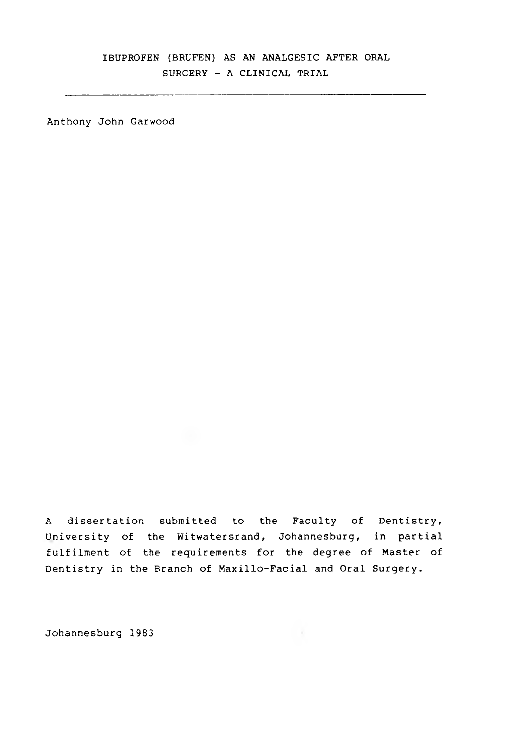# IBUPROFEN (BRUFEN) AS AN ANALGESIC AFTER ORAL SURGERY - A CLINICAL TRIAL

Anthony John Garwood

A dissertation submitted to the Faculty of Dentistry, University of the Witwatersrand, Johannesburg, in partial fulfilment of the requirements for the degree of Master of Dentistry in the Branch of Maxillo-Facial and Oral Surgery.

Johannesburg 1983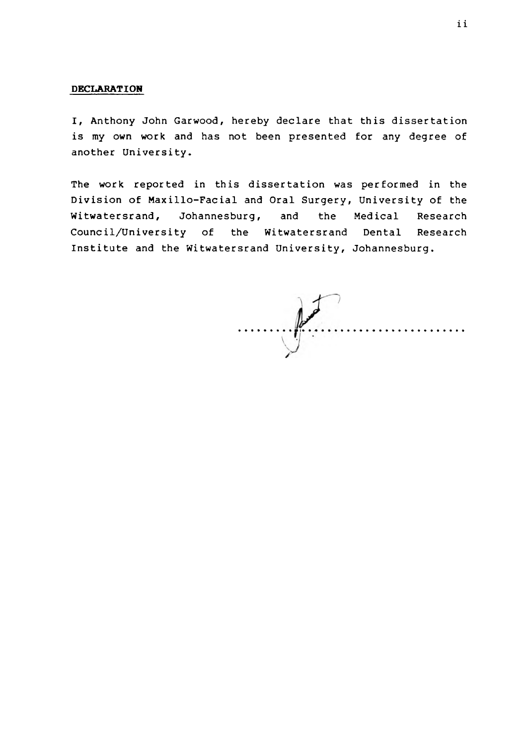### **DECLARATION**

I, Anthony John Garwood, hereby declare that this dissertation is my own work and has not been presented for any degree of another University.

The work reported in this dissertation was performed in the Division of Maxillo-Facial and Oral Surgery, University of the Witwatersrand, Johannesburg, and the Medical Research Council/University of the Witwatersrand Dental Research Institute and the Witwatersrand University, Johannesburg.

 $\mathbb{R}$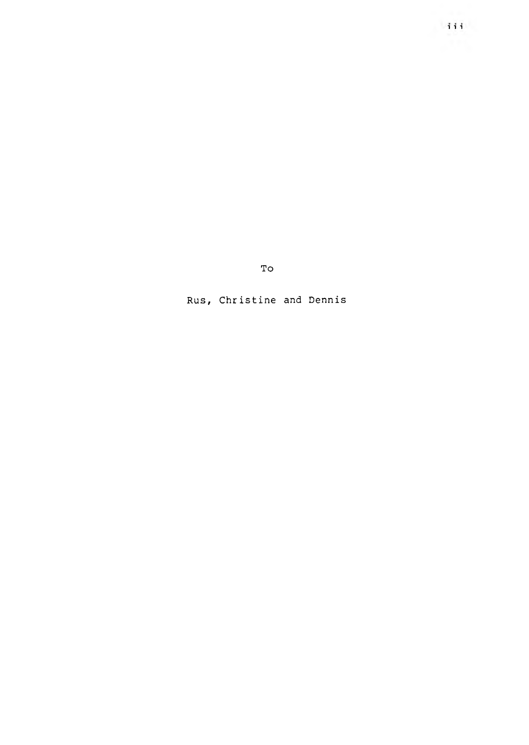To

Rus, Ch ristine and Dennis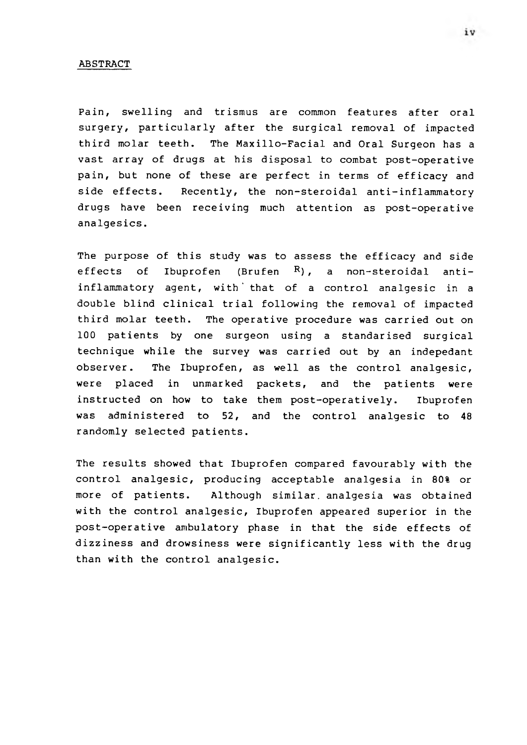#### ABSTRACT

Pain, swelling and trismus are common features after oral surgery, particularly after the surgical removal of impacted third molar teeth. The Maxillo-Facial and Oral Surgeon has a vast array of drugs at his disposal to combat post-operative pain, but none of these are perfect in terms of efficacy and side effects. Recently, the non-steroidal anti-inflammatory drugs have been receiving much attention as post-operative analgesics.

The purpose of this study was to assess the efficacy and side effects of Ibuprofen (Brufen  $R$ ), a non-steroidal antiinflammatory agent, with' that of a control analgesic in a double blind clinical trial following the removal of impacted third molar teeth. The operative procedure was carried out on 100 patients by one surgeon using a standarised surgical technique while the survey was carried out by an indepedant observer. The Ibuprofen, as well as the control analgesic, were placed in unmarked packets, and the patients were instructed on how to take them post-operatively. Ibuprofen was administered to 52, and the control analgesic to 48 randomly selected patients.

The results showed that Ibuprofen compared favourably with the control analgesic, producing acceptable analgesia in 80% or more of patients. Although similar, analgesia was obtained with the control analgesic, Ibuprofen appeared superior in the post-operative ambulatory phase in that the side effects of dizziness and drowsiness were significantly less with the drug than with the control analgesic.

 $iv$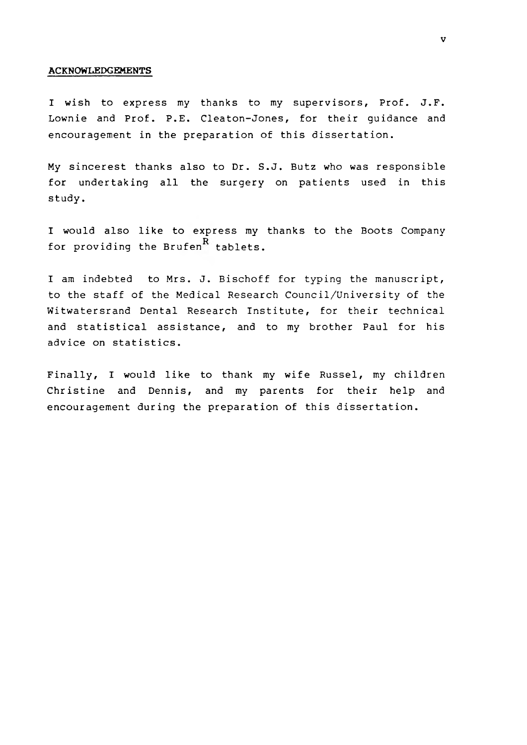#### **ACKNOWLEDGEMENTS**

I wish to express my thanks to my supervisors, Prof. J.F. Lownie and Prof. P.E. Cleaton-Jones, for their guidance and encouragement in the preparation of this dissertation.

My sincerest thanks also to Dr. S.J. Butz who was responsible for undertaking all the surgery on patients used in this study.

I would also like to express my thanks to the Boots Company for providing the Brufen $R$  tablets.

I am indebted to Mrs. J. Bischoff for typing the manuscript, to the staff of the Medical Research Council/University of the Witwatersrand Dental Research Institute, for their technical and statistical assistance, and to my brother Paul for his advice on statistics.

Finally, I would like to thank my wife Russel, my children Christine and Dennis, and my parents for their help and encouragement during the preparation of this dissertation.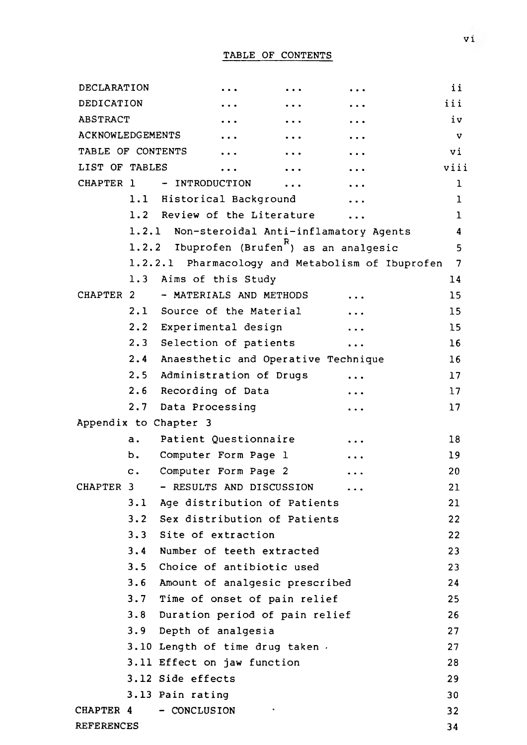| DECLARATION             |                |                                                        |                      | ii.             |
|-------------------------|----------------|--------------------------------------------------------|----------------------|-----------------|
| DEDICATION              |                |                                                        |                      | iii             |
| <b>ABSTRACT</b>         |                |                                                        |                      | iv              |
| <b>ACKNOWLEDGEMENTS</b> |                |                                                        |                      | $\mathbf v$     |
| TABLE OF CONTENTS       |                |                                                        |                      | vi              |
| LIST OF TABLES          |                |                                                        |                      | viii            |
| CHAPTER 1               |                | - INTRODUCTION<br>$\ddotsc$                            |                      | $\mathbf{1}$    |
|                         |                | 1.1 Historical Background                              |                      | $\mathbf{1}$    |
|                         |                | 1.2 Review of the Literature                           |                      | 1               |
|                         |                | 1.2.1 Non-steroidal Anti-inflamatory Agents            |                      | 4               |
|                         |                | 1.2.2 Ibuprofen (Brufen <sup>R</sup> ) as an analgesic |                      | 5               |
|                         |                | 1.2.2.1 Pharmacology and Metabolism of Ibuprofen       |                      | 7               |
|                         |                | 1.3 Aims of this Study                                 |                      | 14              |
| CHAPTER 2               |                | - MATERIALS AND METHODS                                |                      | 15              |
|                         |                | 2.1 Source of the Material                             |                      | 15              |
|                         |                | 2.2 Experimental design                                |                      | 15              |
|                         |                | 2.3 Selection of patients                              | $\ddot{\phantom{a}}$ | 16              |
|                         |                | 2.4 Anaesthetic and Operative Technique                |                      | 16              |
|                         |                | 2.5 Administration of Drugs                            |                      | 17              |
|                         | 2.6            | Recording of Data                                      |                      | 17              |
|                         |                | 2.7 Data Processing                                    |                      | 17              |
|                         |                | Appendix to Chapter 3                                  |                      |                 |
|                         | $\mathsf{a}$ . | Patient Questionnaire                                  |                      | 18              |
|                         | b.             | Computer Form Page 1                                   |                      | 19              |
|                         | $\mathbf{c}$ . | Computer Form Page 2                                   |                      | 20              |
| CHAPTER 3               |                | - RESULTS AND DISCUSSION                               |                      | 21              |
|                         |                | 3.1 Age distribution of Patients                       |                      | 21              |
|                         |                | 3.2 Sex distribution of Patients                       |                      | 22              |
|                         |                | 3.3 Site of extraction                                 |                      | 22              |
|                         | 3.4            | Number of teeth extracted                              |                      | 23              |
|                         | 3.5            | Choice of antibiotic used                              |                      | 23              |
|                         | 3.6            | Amount of analgesic prescribed                         |                      | 24              |
|                         |                | 3.7 Time of onset of pain relief                       |                      | 25              |
|                         | 3.8            | Duration period of pain relief                         |                      | 26              |
|                         | 3.9            | Depth of analgesia                                     |                      | 27              |
|                         |                | 3.10 Length of time drug taken.                        |                      | 27              |
|                         |                | 3.11 Effect on jaw function                            |                      | 28              |
|                         |                | 3.12 Side effects                                      |                      | 29              |
|                         |                | 3.13 Pain rating                                       |                      | 30              |
| CHAPTER 4               |                | - CONCLUSION                                           |                      | 32 <sub>2</sub> |
| <b>REFERENCES</b>       |                |                                                        |                      | 34              |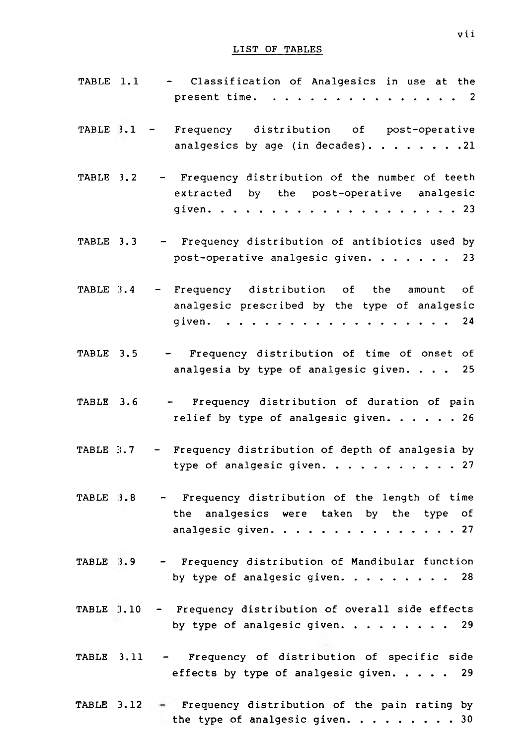# LIST OF TABLES

| TABLE 1.1 | - Classification of Analgesics in use at the<br>present time. 2                                                                                                                                             |
|-----------|-------------------------------------------------------------------------------------------------------------------------------------------------------------------------------------------------------------|
|           | TABLE 3.1 - Frequency distribution of post-operative<br>analgesics by age (in decades). 21                                                                                                                  |
| TABLE 3.2 | - Frequency distribution of the number of teeth<br>extracted by the post-operative analgesic                                                                                                                |
| TABLE 3.3 | - Frequency distribution of antibiotics used by<br>post-operative analgesic given. 23                                                                                                                       |
| TABLE 3.4 | - Frequency distribution of the<br>of<br>amount<br>analgesic prescribed by the type of analgesic<br>given.<br>24<br>$\mathbf{a}$ and $\mathbf{a}$ and $\mathbf{a}$ and $\mathbf{a}$<br><u>and developed</u> |
| TABLE 3.5 | - Frequency distribution of time of onset of<br>analgesia by type of analgesic given. 25                                                                                                                    |
| TABLE 3.6 | - Frequency distribution of duration of pain<br>relief by type of analgesic given. 26                                                                                                                       |
| TABLE 3.7 | - Frequency distribution of depth of analgesia by<br>type of analgesic given.<br>. 27                                                                                                                       |
|           | TABLE 3.8 - Frequency distribution of the length of time<br>the analgesics were taken by the type of<br>analgesic given. 27                                                                                 |
| TABLE 3.9 | - Frequency distribution of Mandibular function<br>by type of analgesic given. $\cdots$ 28                                                                                                                  |
|           | TABLE 3.10 - Frequency distribution of overall side effects<br>by type of analgesic given. $\cdots$ 29                                                                                                      |
|           | TABLE 3.11 - Frequency of distribution of specific side<br>effects by type of analgesic given. 29                                                                                                           |
|           | TABLE 3.12 $\div$ Frequency distribution of the pain rating by<br>the type of analgesic given. 30                                                                                                           |

vii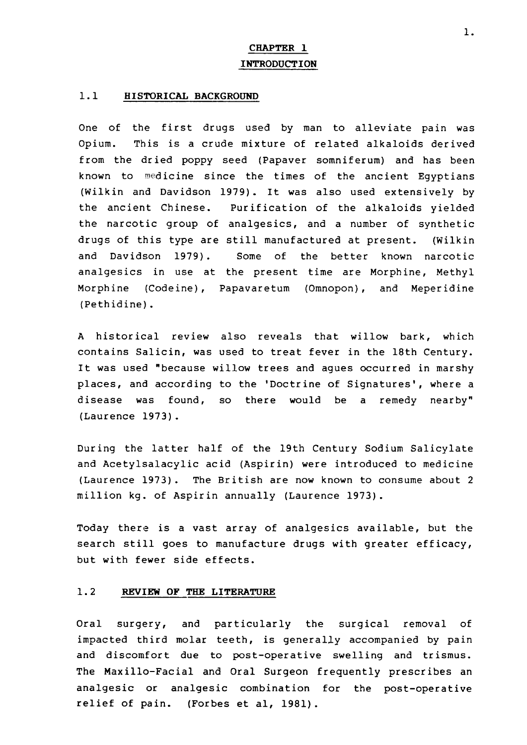# **CHAPTER 1 INTRODUCTION**

#### **1.1 HISTORICAL BACKGROUND**

One of the first drugs used by man to alleviate pain was Opium. This is a crude mixture of related alkaloids derived from the dried poppy seed (Papaver somniferum) and has been known to medicine since the times of the ancient Egyptians (Wilkin and Davidson 1979). It was also used extensively by the ancient Chinese. Purification of the alkaloids yielded the narcotic group of analgesics, and a number of synthetic drugs of this type are still manufactured at present. (Wilkin and Davidson 1979). Some of the better known narcotic analgesics in use at the present time are Morphine, Methyl Morphine (Codeine), Papavaretum (Omnopon), and Meperidine (Pethidine).

A historical review also reveals that willow bark, which contains Salicin, was used to treat fever in the 18th Century. It was used "because willow trees and agues occurred in marshy places, and according to the 'Doctrine of Signatures', where a disease was found, so there would be a remedy nearby" (Laurence 1973).

During the latter half of the 19th Century Sodium Salicylate and Acetylsalacylic acid (Aspirin) were introduced to medicine (Laurence 1973). The British are now known to consume about 2 million kg. of Aspirin annually (Laurence 1973).

Today there is a vast array of analgesics available, but the search still goes to manufacture drugs with greater efficacy, but with fewer side effects.

#### **1.2 REVIEW OF THE LITERATURE**

Oral surgery, and particularly the surgical removal of impacted third molar teeth, is generally accompanied by pain and discomfort due to post-operative swelling and trismus. The Maxillo-Facial and Oral Surgeon frequently prescribes an analgesic or analgesic combination for the post-operative relief of pain. (Forbes et al, 1981).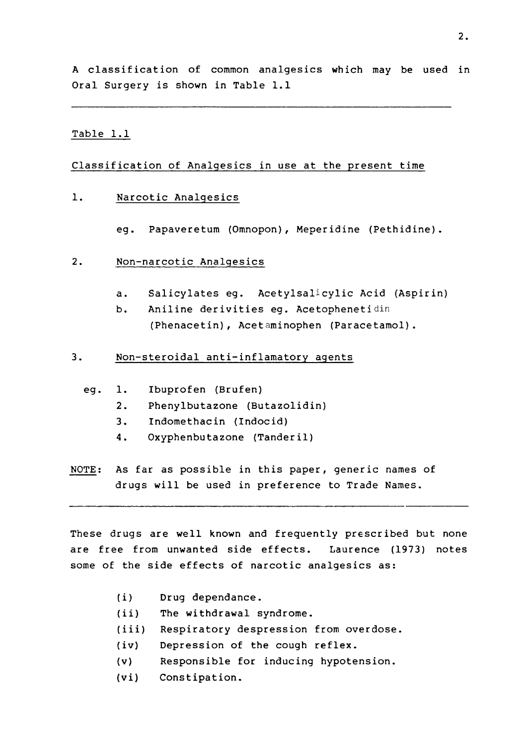A classification of common analgesics which may be used in Oral Surgery is shown in Table 1.1

#### Table 1.1

### Classification of Analgesics in use at the present time

#### 1. Narcotic Analgesics

- eg. Papaveretum (Omnopon), Meperidine (Pethidine).
- 2. Non-narcotic Analgesics
	- a. Salicylates eg. Acetylsalicylic Acid (Aspirin)
	- b. Aniline derivities eg. Acetophenetidin (Phenacetin), Acetaminophen (Paracetamol).
- 3. Non-steroidal anti-inflamatory agents
	- eg. 1. Ibuprofen (Brufen)
		- 2. Phenylbutazone (Butazolidin)
		- 3. Indomethacin (Indocid)
		- 4. Oxyphenbutazone (Tanderil)
- NOTE: As far as possible in this paper, generic names of drugs will be used in preference to Trade Names.

These drugs are well known and frequently prescribed but none are free from unwanted side effects. Laurence (1973) notes some of the side effects of narcotic analgesics as:

- (i) Drug dependance.
- (ii) The withdrawal syndrome.
- (iii) Respiratory despression from overdose.
- (iv) Depression of the cough reflex.
- (v) Responsible for inducing hypotension.
- (vi) Constipation.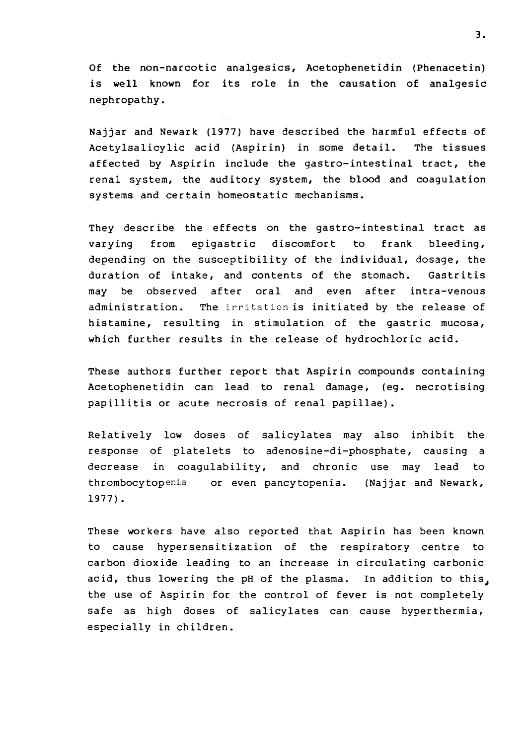Of the non-narcotic analgesics, Acetophenetidin (Phenacetin) is well known for its role in the causation of analgesic nephropathy.

Najjar and Newark (1977) have described the harmful effects of Acetylsalicylie acid (Aspirin) in some detail. The tissues affected by Aspirin include the gastro-intestinal tract, the renal system, the auditory system, the blood and coagulation systems and certain homeostatic mechanisms.

They describe the effects on the gastro-intestinal tract as varying from epigastric discomfort to frank bleeding, depending on the susceptibility of the individual, dosage, the duration of intake, and contents of the stomach. Gastritis may be observed after oral and even after intra-venous administration. The irritation is initiated by the release of histamine, resulting in stimulation of the gastric mucosa, which further results in the release of hydrochloric acid.

These authors further report that Aspirin compounds containing Acetophenetidin can lead to renal damage, (eg. necrotising papillitis or acute necrosis of renal papillae).

Relatively low doses of salicylates may also inhibit the response of platelets to adenosine-di-phosphate, causing a decrease in coagulability, and chronic use may lead to **thrombocytopenia** or even pancytopenia. (Najjar and Newark, 1977) .

These workers have also reported that Aspirin has been known to cause hypersensitization of the respiratory centre to carbon dioxide leading to an increase in circulating carbonic acid, thus lowering the pH of the plasma. In addition to this, the use of Aspirin for the control of fever is not completely safe as high doses of salicylates can cause hyperthermia, especially in children.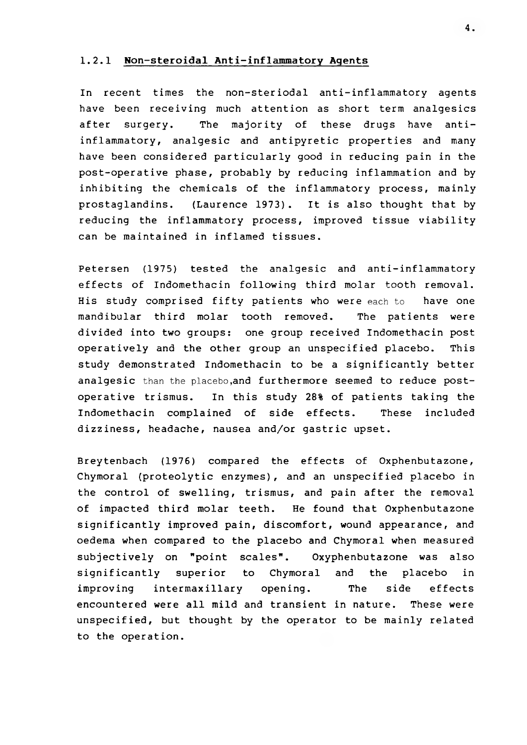#### **1.2.1 Won-steroidal Anti-inflammatory Agents**

In recent times the non-steriodal anti-inflammatory agents have been receiving much attention as short term analgesics after surgery. The majority of these drugs have antiinflammatory, analgesic and antipyretic properties and many have been considered particularly good in reducing pain in the post-operative phase, probably by reducing inflammation and by inhibiting the chemicals of the inflammatory process, mainly prostaglandins. (Laurence 1973). It is also thought that by reducing the inflammatory process, improved tissue viability can be maintained in inflamed tissues.

Petersen (1975) tested the analgesic and anti-inflammatory effects of Indomethacin following third molar tooth removal. His study comprised fifty patients who were each to have one mandibular third molar tooth removed. The patients were divided into two groups: one group received Indomethacin post operatively and the other group an unspecified placebo. This study demonstrated Indomethacin to be a significantly better analgesic than the placebo,and furthermore seemed to reduce postoperative trismus. In this study 28% of patients taking the Indomethacin complained of side effects. These included dizziness, headache, nausea and/or gastric upset.

Breytenbach (1976) compared the effects of Oxphenbutazone, Chymoral (proteolytic enzymes), and an unspecified placebo in the control of swelling, trismus, and pain after the removal of impacted third molar teeth. He found that Oxphenbutazone significantly improved pain, discomfort, wound appearance, and oedema when compared to the placebo and Chymoral when measured subjectively on "point scales". Oxyphenbutazone was also significantly superior to Chymoral and the placebo in improving intermaxillary opening. The side effects encountered were all mild and transient in nature. These were unspecified, but thought by the operator to be mainly related to the operation.

**4.**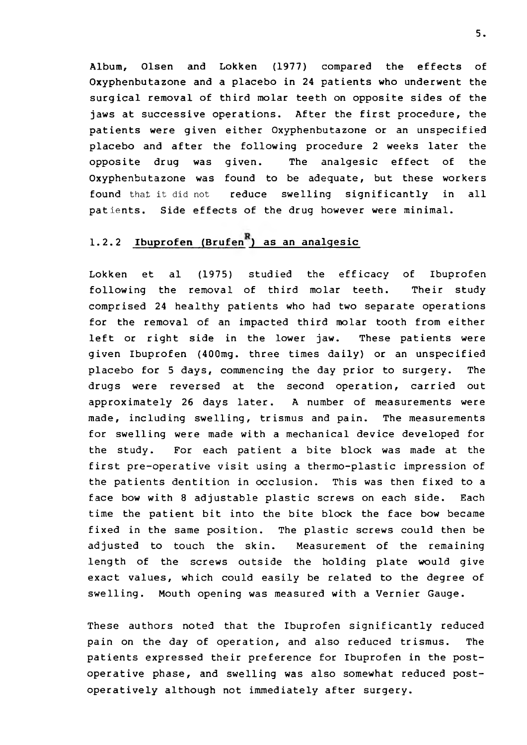Album, Olsen and Lokken (1977) compared the effects of Oxyphenbutazone and a placebo in 24 patients who underwent the surgical removal of third molar teeth on opposite sides of the jaws at successive operations. After the first procedure, the patients were given either Oxyphenbutazone or an unspecified placebo and after the following procedure 2 weeks later the opposite drug was given. The analgesic effect of the Oxyphenbutazone was found to be adequate, but these workers found that it did not reduce swelling significantly in all patients. Side effects of the drug however were minimal.

# **1.2.2 Ibuprofen (Brufen ) as an analgesic**

Lokken et al (1975) studied the efficacy of Ibuprofen following the removal of third molar teeth. Their study comprised 24 healthy patients who had two separate operations for the removal of an impacted third molar tooth from either left or right side in the lower jaw. These patients were given Ibuprofen (400mg. three times daily) or an unspecified placebo for 5 days, commencing the day prior to surgery. The drugs were reversed at the second operation, carried out approximately 26 days later. A number of measurements were made, including swelling, trismus and pain. The measurements for swelling were made with a mechanical device developed for the study. For each patient a bite block was made at the first pre-operative visit using a thermo-plastic impression of the patients dentition in occlusion. This was then fixed to a face bow with 8 adjustable plastic screws on each side. Each time the patient bit into the bite block the face bow became fixed in the same position. The plastic screws could then be adjusted to touch the skin. Measurement of the remaining length of the screws outside the holding plate would give exact values, which could easily be related to the degree of swelling. Mouth opening was measured with a Vernier Gauge.

These authors noted that the Ibuprofen significantly reduced pain on the day of operation, and also reduced trismus. The patients expressed their preference for Ibuprofen in the postoperative phase, and swelling was also somewhat reduced postoperatively although not immediately after surgery.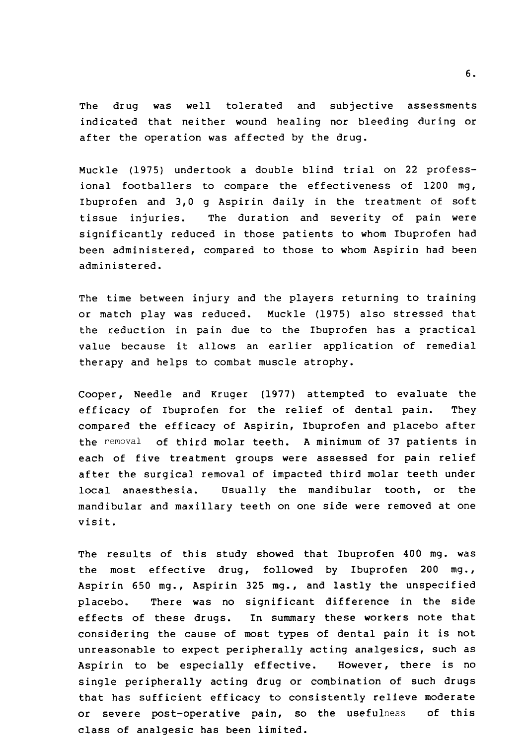The drug was well tolerated and subjective assessments indicated that neither wound healing nor bleeding during or after the operation was affected by the drug.

Muckle (1975) undertook a double blind trial on 22 professional footballers to compare the effectiveness of 1200 mg, Ibuprofen and 3,0 g Aspirin daily in the treatment of soft tissue injuries. The duration and severity of pain were significantly reduced in those patients to whom Ibuprofen had been administered, compared to those to whom Aspirin had been administered.

The time between injury and the players returning to training or match play was reduced. Muckle (1975) also stressed that the reduction in pain due to the Ibuprofen has a practical value because it allows an earlier application of remedial therapy and helps to combat muscle atrophy.

Cooper, Needle and Kruger (1977) attempted to evaluate the efficacy of Ibuprofen for the relief of dental pain. They compared the efficacy of Aspirin, Ibuprofen and placebo after the removal of third molar teeth. A minimum of 37 patients in each of five treatment groups were assessed for pain relief after the surgical removal of impacted third molar teeth under local anaesthesia. Usually the mandibular tooth, or the mandibular and maxillary teeth on one side were removed at one visit.

The results of this study showed that Ibuprofen 400 mg. was the most effective drug, followed by Ibuprofen 200 mg., Aspirin 650 mg., Aspirin 325 mg., and lastly the unspecified placebo. There was no significant difference in the side effects of these drugs. In summary these workers note that considering the cause of most types of dental pain it is not unreasonable to expect peripherally acting analgesics, such as Aspirin to be especially effective. However, there is no single peripherally acting drug or combination of such drugs that has sufficient efficacy to consistently relieve moderate or severe post-operative pain, so the usefulness of this class of analgesic has been limited.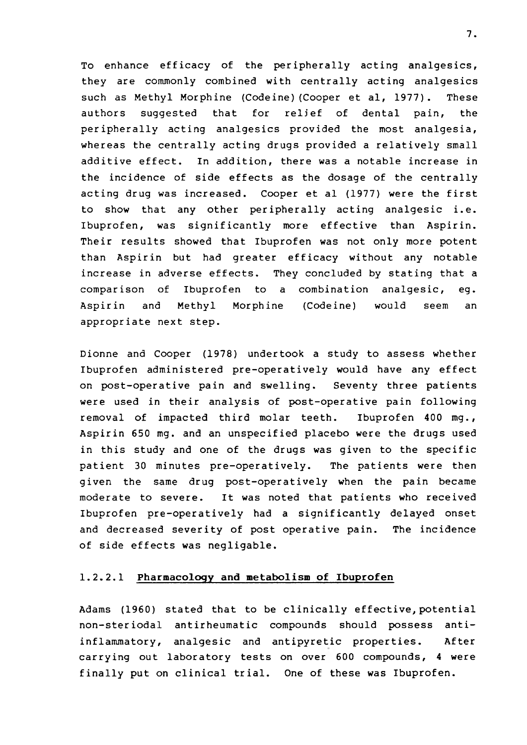To enhance efficacy of the peripherally acting analgesics, they are commonly combined with centrally acting analgesics such as Methyl Morphine (Codeine)(Cooper et al, 1977). These authors suggested that for relief of dental pain, the peripherally acting analgesics provided the most analgesia, whereas the centrally acting drugs provided a relatively small additive effect. In addition, there was a notable increase in the incidence of side effects as the dosage of the centrally acting drug was increased. Cooper et al (1977) were the first to show that any other peripherally acting analgesic i.e. Ibuprofen, was significantly more effective than Aspirin. Their results showed that Ibuprofen was not only more potent than Aspirin but had greater efficacy without any notable increase in adverse effects. They concluded by stating that a comparison of Ibuprofen to a combination analgesic, eg. Aspirin and Methyl Morphine (Codeine) would seem an appropriate next step.

Dionne and Cooper (1978) undertook a study to assess whether Ibuprofen administered pre-operatively would have any effect on post-operative pain and swelling. Seventy three patients were used in their analysis of post-operative pain following removal of impacted third molar teeth. Ibuprofen 400 mg., Aspirin 650 mg. and an unspecified placebo were the drugs used in this study and one of the drugs was given to the specific patient 30 minutes pre-operatively. The patients were then given the same drug post-operatively when the pain became moderate to severe. It was noted that patients who received Ibuprofen pre-operatively had a significantly delayed onset and decreased severity of post operative pain. The incidence of side effects was negligable.

### 1.2.2.1 Pharmacology and metabolism of Ibuprofen

Adams (1960) stated that to be clinically effective, potential non-steriodal antirheumatic compounds should possess antiinflammatory, analgesic and antipyretic properties. After carrying out laboratory tests on over 600 compounds, 4 were finally put on clinical trial. One of these was Ibuprofen.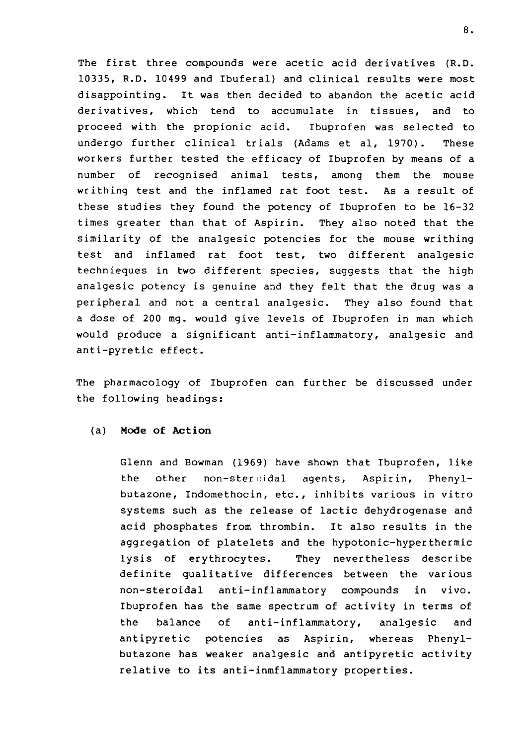The first three compounds were acetic acid derivatives (R.D. 10335, R.D. 10499 and Ibuferal) and clinical results were most disappointing. It was then decided to abandon the acetic acid derivatives, which tend to accumulate in tissues, and to proceed with the propionic acid. Ibuprofen was selected to undergo further clinical trials (Adams et al, 1970). These workers further tested the efficacy of Ibuprofen by means of a number of recognised animal tests, among them the mouse writhing test and the inflamed rat foot test. As a result of these studies they found the potency of Ibuprofen to be 16-32 times greater than that of Aspirin. They also noted that the similarity of the analgesic potencies for the mouse writhing test and inflamed rat foot test, two different analgesic technieques in two different species, suggests that the high analgesic potency is genuine and they felt that the drug was a peripheral and not a central analgesic. They also found that a dose of 200 mg. would give levels of Ibuprofen in man which would produce a significant anti-inflammatory, analgesic and anti-pyretic effect.

The pharmacology of Ibuprofen can further be discussed under the following headings:

#### (a) Mode of Action

Glenn and Bowman (1969) have shown that Ibuprofen, like the other non-steroidal agents, Aspirin, Phenylbutazone, Indomethocin, etc., inhibits various in vitro systems such as the release of lactic dehydrogenase and acid phosphates from thrombin. It also results in the aggregation of platelets and the hypotonic-hyperthermic lysis of erythrocytes. They nevertheless describe definite qualitative differences between the various non-steroidal anti-inflammatory compounds in vivo. Ibuprofen has the same spectrum of activity in terms of the balance of anti-inflammatory, analgesic and antipyretic potencies as Aspirin, whereas Phenylbutazone has weaker analgesic and antipyretic activity relative to its anti-inmflammatory properties.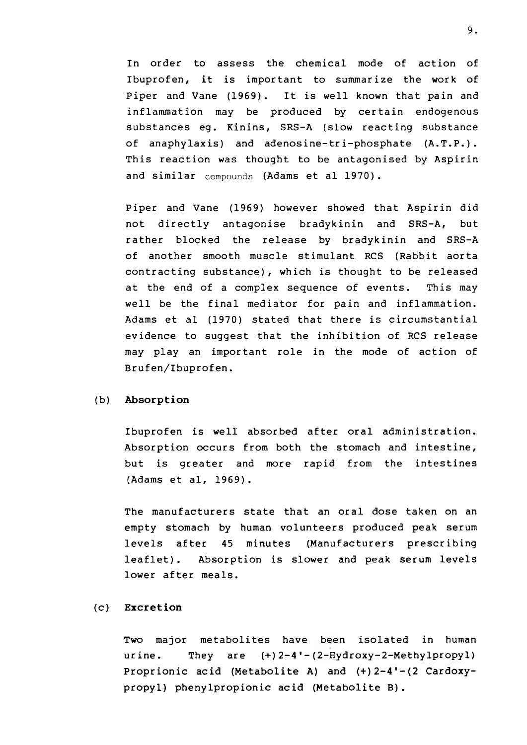In order to assess the chemical mode of action of Ibuprofen, it is important to summarize the work of Piper and Vane (1969). It is well known that pain and inflammation may be produced by certain endogenous substances eg. Kinins, SRS-A (slow reacting substance of anaphylaxis) and adenosine-tri-phosphate (A.T.P.). This reaction was thought to be antagonised by Aspirin and similar compounds (Adams et al 1970).

Piper and Vane (1969) however showed that Aspirin did not directly antagonise bradykinin and SRS-A, but rather blocked the release by bradykinin and SRS-A of another smooth muscle stimulant RCS (Rabbit aorta contracting substance), which is thought to be released at the end of a complex sequence of events. This may well be the final mediator for pain and inflammation. Adams et al (1970) stated that there is circumstantial evidence to suggest that the inhibition of RCS release may play an important role in the mode of action of Brufen/Ibuprofen.

#### (b) Absorption

Ibuprofen is well absorbed after oral administration. Absorption occurs from both the stomach and intestine, but is greater and more rapid from the intestines (Adams et al, 1969) .

The manufacturers state that an oral dose taken on an empty stomach by human volunteers produced peak serum levels after 45 minutes (Manufacturers prescribing leaflet). Absorption is slower and peak serum levels lower after meals.

### (c) Excretion

Two major metabolites have been isolated in human urine. They are (+)2-4'-(2-Hydroxy-2-Methylpropyl) Proprionic acid (Metabolite A) and (+)2-4'-(2 Cardoxypropyl) phenylpropionic acid (Metabolite B).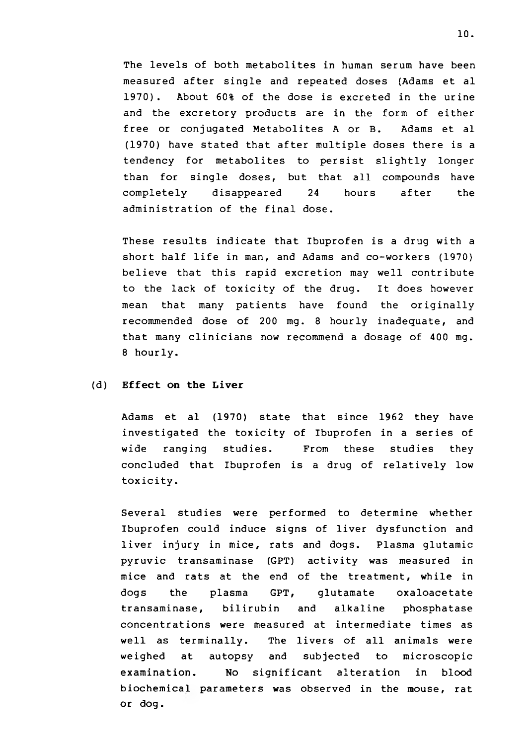The levels of both metabolites in human serum have been measured after single and repeated doses (Adams et al 1970). About 60% of the dose is excreted in the urine and the excretory products are in the form of either free or conjugated Metabolites A or B. Adams et al (1970) have stated that after multiple doses there is a tendency for metabolites to persist slightly longer than for single doses, but that all compounds have completely disappeared 24 hours after the administration of the final dose.

These results indicate that Ibuprofen is a drug with a short half life in man, and Adams and co-workers (1970) believe that this rapid excretion may well contribute to the lack of toxicity of the drug. It does however mean that many patients have found the originally recommended dose of 200 mg. 8 hourly inadequate, and that many clinicians now recommend a dosage of 400 mg. 8 hourly.

#### (d) Effect on the Liver

Adams et al (1970) state that since 1962 they have investigated the toxicity of Ibuprofen in a series of wide ranging studies. From these studies they concluded that Ibuprofen is a drug of relatively low toxicity.

Several studies were performed to determine whether Ibuprofen could induce signs of liver dysfunction and liver injury in mice, rats and dogs. Plasma glutamic pyruvic transaminase (GPT) activity was measured in mice and rats at the end of the treatment, while in dogs the plasma GPT, glutamate oxaloacetate transaminase, bilirubin and alkaline phosphatase concentrations were measured at intermediate times as well as terminally. The livers of all animals were weighed at autopsy and subjected to microscopic examination. No significant alteration in blood biochemical parameters was observed in the mouse, rat or dog.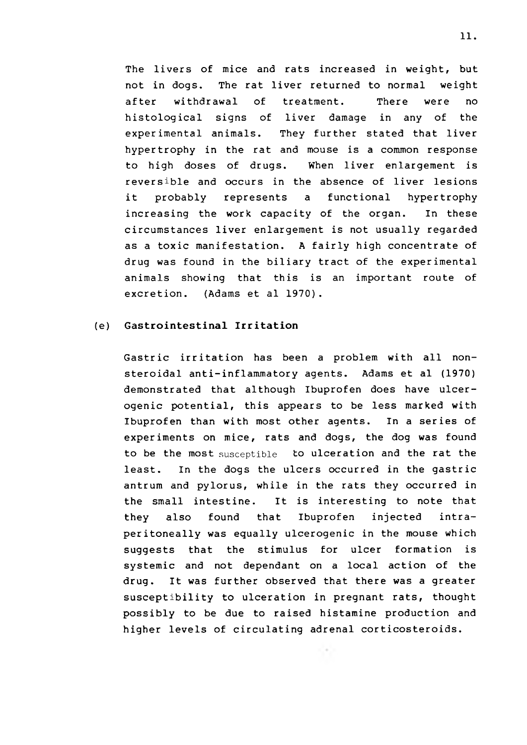The livers of mice and rats increased in weight, but not in dogs. The rat liver returned to normal weight after withdrawal of treatment. There were no histological signs of liver damage in any of the experimental animals. They further stated that liver hypertrophy in the rat and mouse is a common response to high doses of drugs. When liver enlargement is reversible and occurs in the absence of liver lesions it probably represents a functional hypertrophy increasing the work capacity of the organ. In these circumstances liver enlargement is not usually regarded as a toxic manifestation. A fairly high concentrate of drug was found in the biliary tract of the experimental animals showing that this is an important route of excretion. (Adams et al 1970).

### (e) Gastrointestinal Irritation

Gastric irritation has been a problem with all nonsteroidal anti-inflammatory agents. Adams et al (1970) demonstrated that although Ibuprofen does have ulcerogenic potential, this appears to be less marked with Ibuprofen than with most other agents. In a series of experiments on mice, rats and dogs, the dog was found to be the most susceptible to ulceration and the rat the least. In the dogs the ulcers occurred in the gastric antrum and pylorus, while in the rats they occurred in the small intestine. It is interesting to note that they also found that Ibuprofen injected intraperitoneally was equally ulcerogenic in the mouse which suggests that the stimulus for ulcer formation is systemic and not dependant on a local action of the drug. It was further observed that there was a greater susceptibility to ulceration in pregnant rats, thought possibly to be due to raised histamine production and higher levels of circulating adrenal corticosteroids.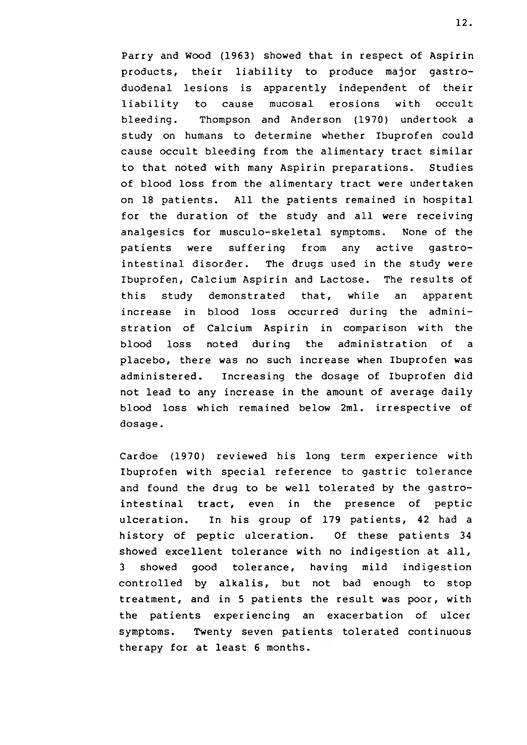Parry and Wood (1963) showed that in respect of Aspirin products, their liability to produce major gastroduodenal lesions is apparently independent of their liability to cause mucosal erosions with occult bleeding. Thompson and Anderson (1970) undertook a study on humans to determine whether Ibuprofen could cause occult bleeding from the alimentary tract similar to that noted with many Aspirin preparations. Studies of blood loss from the alimentary tract were undertaken on 18 patients. All the patients remained in hospital for the duration of the study and all were receiving analgesics for musculo-skeletal symptoms. None of the patients were suffering from any active gastrointestinal disorder. The drugs used in the study were Ibuprofen, Calcium Aspirin and Lactose. The results of this study demonstrated that, while an apparent increase in blood loss occurred during the administration of Calcium Aspirin in comparison with the blood loss noted during the administration of a placebo, there was no such increase when Ibuprofen was administered. Increasing the dosage of Ibuprofen did not lead to any increase in the amount of average daily blood loss which remained below 2ml. irrespective of dosage.

Cardoe (1970) reviewed his long term experience with Ibuprofen with special reference to gastric tolerance and found the drug to be well tolerated by the gastrointestinal tract, even in the presence of peptic ulceration. In his group of 179 patients, 42 had a history of peptic ulceration. Of these patients 34 showed excellent tolerance with no indigestion at all, 3 showed good tolerance, having mild indigestion controlled by alkalis, but not bad enough to stop treatment, and in 5 patients the result was poor, with the patients experiencing an exacerbation of ulcer symptoms. Twenty seven patients tolerated continuous therapy for at least 6 months.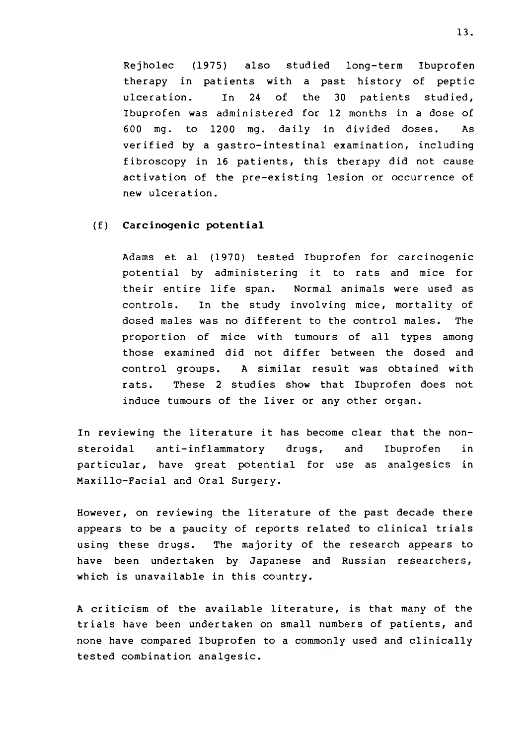Rejholec (1975) also studied long-term Ibuprofen therapy in patients with a past history of peptic ulceration. In 24 of the 30 patients studied, Ibuprofen was administered for 12 months in a dose of 600 mg. to 1200 mg. daily in divided doses. As verified by a gastro-intestinal examination, including fibroscopy in 16 patients, this therapy did not cause activation of the pre-existing lesion or occurrence of new ulceration.

#### (f) Carcinogenic potential

Adams et al (1970) tested Ibuprofen for carcinogenic potential by administering it to rats and mice for their entire life span. Normal animals were used as controls. In the study involving mice, mortality of dosed males was no different to the control males. The proportion of mice with tumours of all types among those examined did not differ between the dosed and control groups. A similar result was obtained with rats. These 2 studies show that Ibuprofen does not induce tumours of the liver or any other organ.

In reviewing the literature it has become clear that the nonsteroidal anti-inflammatory drugs, and Ibuprofen in particular, have great potential for use as analgesics in Maxillo-Facial and Oral Surgery.

However, on reviewing the literature of the past decade there appears to be a paucity of reports related to clinical trials using these drugs. The majority of the research appears to have been undertaken by Japanese and Russian researchers, which is unavailable in this country.

A criticism of the available literature, is that many of the trials have been undertaken on small numbers of patients, and none have compared Ibuprofen to a commonly used and clinically tested combination analgesic.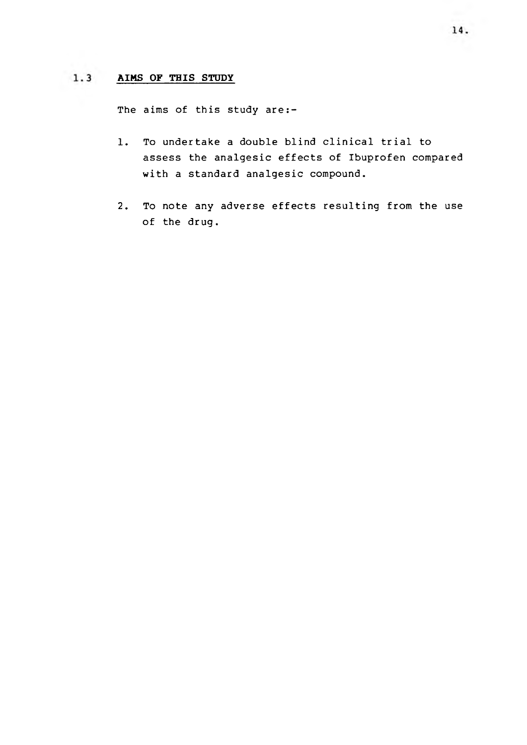#### $1.3$ **AIMS OF THIS STUDY**

The aims of this study are:-

- 1. To undertake a double blind clinical trial to assess the analgesic effects of Ibuprofen compared with a standard analgesic compound.
- 2. To note any adverse effects resulting from the use of the drug.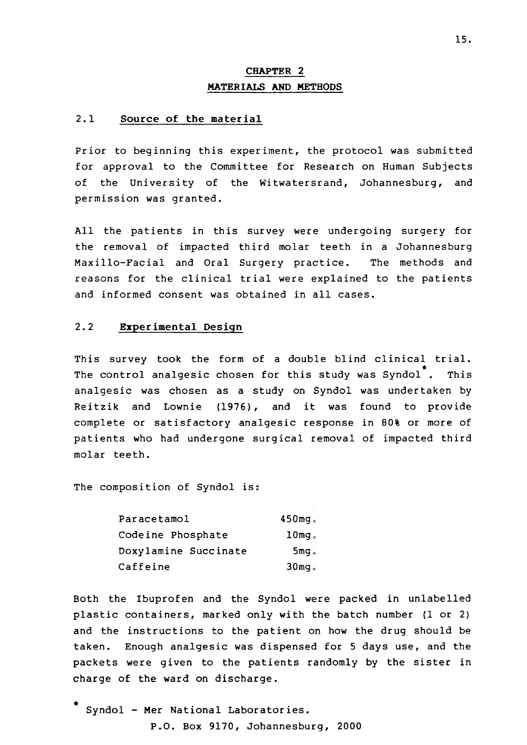# **CHAPTER 2 MATERIALS AND METHODS**

## **2.1 Source of the material**

Prior to beginning this experiment, the protocol was submitted for approval to the Committee for Research on Human Subjects of the University of the Witwatersrand, Johannesburg, and permission was granted.

All the patients in this survey were undergoing surgery for the removal of impacted third molar teeth in a Johannesburg Maxillo-Facial and Oral Surgery practice. reasons for the clinical trial were explained to the patients and informed consent was obtained in all cases. The methods and

### 2.2 **Experimental Design**

This survey took the form of a double blind clinical trial. \* The control analgesic chosen for this study was Syndol . This analgesic was chosen as a study on Syndol was undertaken by Reitzik and Lownie (1976), and it was found to provide complete or satisfactory analgesic response in 80% or more of patients who had undergone surgical removal of impacted third molar teeth.

The composition of Syndol is:

| Paracetamol          | $450mg +$        |
|----------------------|------------------|
| Codeine Phosphate    | $10mg$ .         |
| Doxylamine Succinate | $5mg +$          |
| Caffeine             | 30 <sub>mq</sub> |

Both the Ibuprofen and the Syndol were packed in unlabelled plastic containers, marked only with the batch number (1 or 2) and the instructions to the patient on how the drug should be taken. Enough analgesic was dispensed for 5 days use, and the packets were given to the patients randomly by the sister in charge of the ward on discharge.

\* Syndol - Mer National Laboratories. P.O. Box 9170, Johannesburg, 2000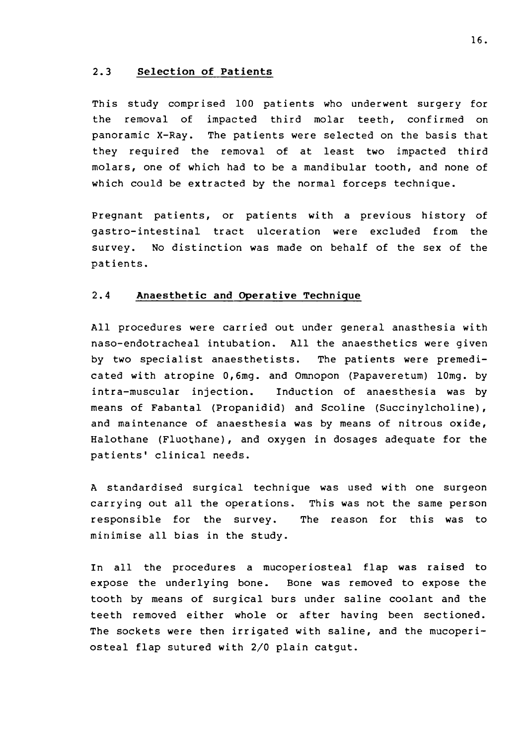#### **2.3 Selection of Patients**

This study comprised 100 patients who underwent surgery for the removal of impacted third molar teeth, confirmed on panoramic X-Ray. The patients were selected on the basis that they required the removal of at least two impacted third molars, one of which had to be a mandibular tooth, and none of which could be extracted by the normal forceps technique.

Pregnant patients, or patients with a previous history of gastro-intestinal tract ulceration were excluded from the survey. No distinction was made on behalf of the sex of the patients.

#### **2.4 Anaesthetic and Operative Technique**

All procedures were carried out under general anasthesia with naso-endotracheal intubation. All the anaesthetics were given by two specialist anaesthetists. The patients were premedicated with atropine 0,6mg. and Omnopon (Papaveretum) lOmg. by intra-muscular injection. Induction of anaesthesia was by means of Fabantal (Propanidid) and Scoline (Succinylcholine) , and maintenance of anaesthesia was by means of nitrous oxide, Halothane (Fluothane), and oxygen in dosages adequate for the patients' clinical needs.

A standardised surgical technique was used with one surgeon carrying out all the operations. This was not the same person responsible for the survey. The reason for this was to minimise all bias in the study.

In all the procedures a mucoper iosteal flap was raised to expose the underlying bone. Bone was removed to expose the tooth by means of surgical burs under saline coolant and the teeth removed either whole or after having been sectioned. The sockets were then irrigated with saline, and the mucoperiosteal flap sutured with 2/0 plain catgut.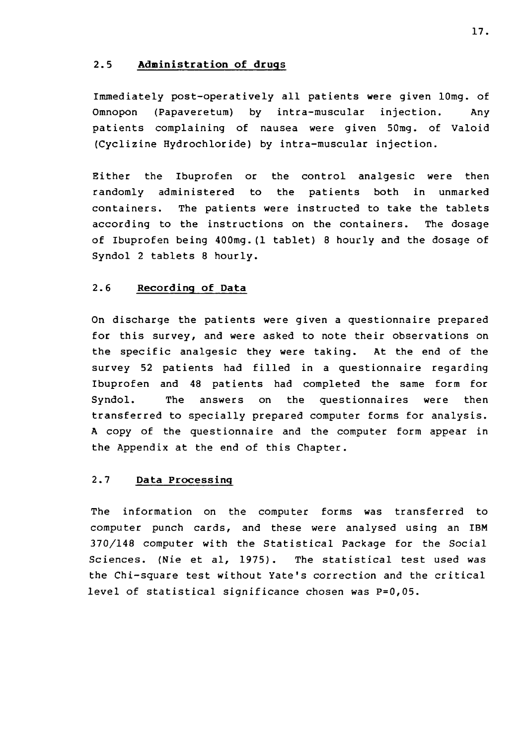### **2.5 Administration of drugs**

Immediately post-operatively all patients were given lOmg. of Omnopon (Papaveretum) by intra-muscular injection. Any patients complaining of nausea were given 50mg. of Valoid (Cyclizine Hydrochloride) by intra-muscular injection.

Either the Ibuprofen or the control analgesic were then randomly administered to the patients both in unmarked containers. The patients were instructed to take the tablets according to the instructions on the containers. The dosage of Ibuprofen being 400mg.(1 tablet) 8 hourly and the dosage of Syndol 2 tablets 8 hourly.

### **2.6 Recording of Data**

On discharge the patients were given a questionnaire prepared for this survey, and were asked to note their observations on the specific analgesic they were taking. At the end of the survey 52 patients had filled in a questionnaire regarding Ibuprofen and 48 patients had completed the same form for Syndol. The answers on the questionnaires were then transferred to specially prepared computer forms for analysis. A copy of the questionnaire and the computer form appear in the Appendix at the end of this Chapter.

### **2.7 Data Processing**

The information on the computer forms was transferred to computer punch cards, and these were analysed using an IBM 370/148 computer with the Statistical Package for the Social Sciences. (Nie et al, 1975). The statistical test used was the Chi-square test without Yate's correction and the critical level of statistical significance chosen was P=0,05.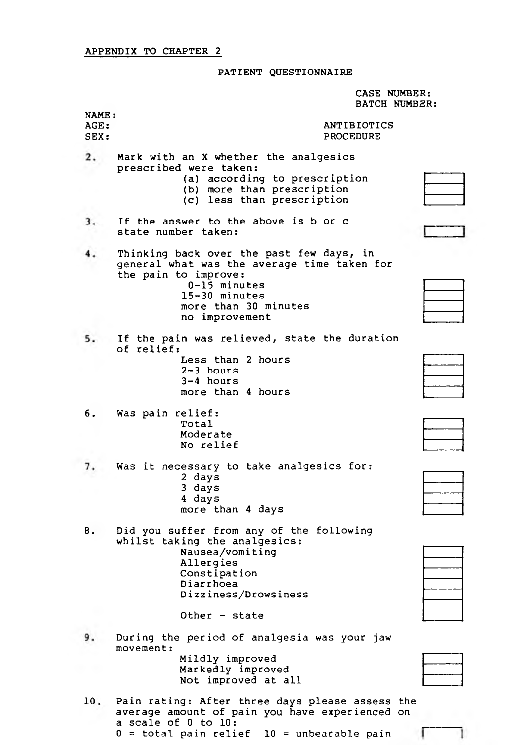## PATIENT QUESTIONNAIRE

CASE NUMBER: BATCH NUMBER:

Ī

Ţ

| NAME:<br>AGE:<br>SEX: | ANTIBIOTICS<br><b>PROCEDURE</b>                                                                                                                                                              |  |
|-----------------------|----------------------------------------------------------------------------------------------------------------------------------------------------------------------------------------------|--|
| 2.                    | Mark with an X whether the analgesics<br>prescribed were taken:<br>(a) according to prescription<br>(b) more than prescription<br>(c) less than prescription                                 |  |
| 3.                    | If the answer to the above is b or c<br>state number taken:                                                                                                                                  |  |
|                       | Thinking back over the past few days, in<br>general what was the average time taken for<br>the pain to improve:<br>$0-15$ minutes<br>15-30 minutes<br>more than 30 minutes<br>no improvement |  |
|                       | If the pain was relieved, state the duration<br>of relief:<br>Less than 2 hours<br>$2 - 3$ hours<br>$3-4$ hours<br>more than 4 hours                                                         |  |
| 6.                    | Was pain relief:<br>Total<br>Moderate<br>No relief                                                                                                                                           |  |
| 7.                    | Was it necessary to take analgesics for:<br>2 days<br>3 days<br>4 days<br>more than 4 days                                                                                                   |  |
| 8.                    | Did you suffer from any of the following<br>whilst taking the analgesics:<br>Nausea/vomiting<br>Allergies<br>Constipation<br>Diarrhoea<br>Dizziness/Drowsiness<br>Other - state              |  |
|                       | During the period of analgesia was your jaw<br>$move$ mnt:<br>Mildly improved<br>Markedly improved<br>Not improved at all                                                                    |  |
|                       |                                                                                                                                                                                              |  |

| 10. Pain rating: After three days please assess the |  |
|-----------------------------------------------------|--|
| average amount of pain you have experienced on      |  |
| a scale of 0 to 10:                                 |  |
| $0 =$ total pain relief $10 =$ unbearable pain      |  |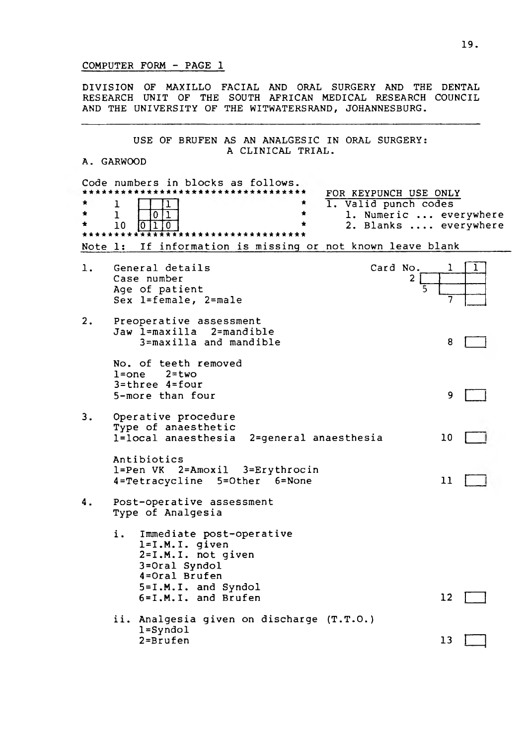### COMPUTER FORM - PAGE 1

DIVISION OF MAXILLO FACIAL AND ORAL SURGERY AND THE DENTAL RESEARCH UNIT OF THE SOUTH AFRICAN MEDICAL RESEARCH COUNCIL AND THE UNIVERSITY OF THE WITWATERSRAND, JOHANNESBURG.

#### USE OF BRUFEN AS AN ANALGESIC IN ORAL SURGERY: A CLINICAL TRIAL.

#### A. GARWOOD

|         | Code numbers in blocks as follows.                                                                                                                                                                        |    |
|---------|-----------------------------------------------------------------------------------------------------------------------------------------------------------------------------------------------------------|----|
|         | FOR KEYPUNCH USE ONLY<br>$\overline{1}$ . Valid punch codes<br>1<br>$\mathbf{1}$<br>$\overline{\mathbb{1}}$<br>$\star$<br>1. Numeric  everywhere<br>0<br>2. Blanks  everywhere<br>10<br>$\mathbf 0$<br>0. |    |
| Note 1: | If information is missing or not known leave blank                                                                                                                                                        |    |
| 1.      | General details<br>Card No.<br>Case number<br>2<br>Age of patient<br>Sex l=female, 2=male                                                                                                                 |    |
| 2.      | Preoperative assessment<br>Jaw l=maxilla 2=mandible<br>3=maxilla and mandible                                                                                                                             | 8  |
|         | No. of teeth removed<br>$2 = two$<br>$l = one$<br>$3 = three$ $4 = four$<br>5-more than four                                                                                                              | 9  |
| 3.      | Operative procedure<br>Type of anaesthetic<br>l=local anaesthesia<br>2=general anaesthesia                                                                                                                | 10 |
|         | Antibiotics<br>1=Pen VK 2=Amoxil 3=Erythrocin<br>4=Tetracycline<br>5=Other 6=None                                                                                                                         | 11 |
| 4.      | Post-operative assessment<br>Type of Analgesia                                                                                                                                                            |    |
|         | i.,<br>Immediate post-operative<br>$l = I.M.I.$ given<br>$2 = I.M.I.$ not given<br>3=Oral Syndol<br>4=Oral Brufen<br>5=I.M.I. and Syndol<br>6=I.M.I. and Brufen                                           | 12 |
|         | ii. Analgesia given on discharge (T.T.O.)<br>$l =$ Syndol<br>2=Brufen                                                                                                                                     | 13 |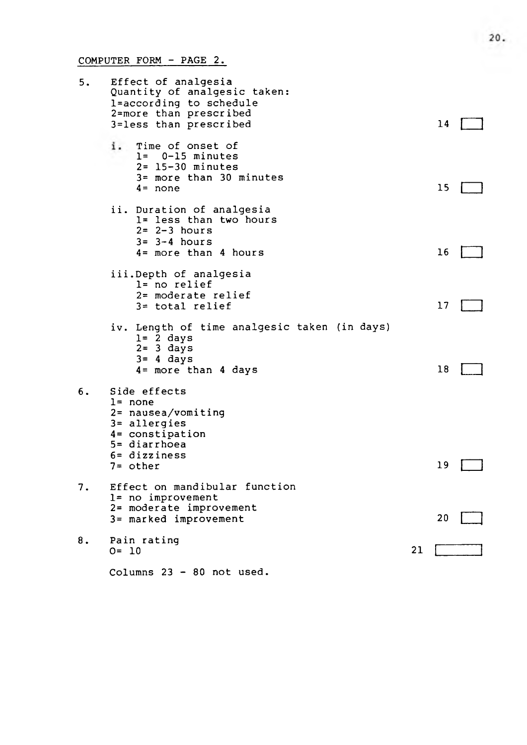COMPUTER FORM - PAGE 2.

| 5. | Effect of analgesia<br>Quantity of analgesic taken:<br>l=according to schedule<br>2=more than prescribed<br>3=less than prescribed              |    | 14 |  |
|----|-------------------------------------------------------------------------------------------------------------------------------------------------|----|----|--|
|    | i.<br>Time of onset of<br>$l = 0-15$ minutes<br>$2 = 15 - 30$ minutes<br>3= more than 30 minutes<br>$4 = none$                                  |    | 15 |  |
|    | ii. Duration of analgesia<br>1= less than two hours<br>$2 = 2 - 3$ hours<br>$3 = 3 - 4$ hours<br>$4 = more than 4 hours$                        |    | 16 |  |
|    | iii.Depth of analgesia<br>l= no relief<br>2= moderate relief<br>3= total relief                                                                 |    | 17 |  |
|    | iv. Length of time analgesic taken (in days)<br>$l = 2$ days<br>$2 = 3$ days<br>$3 = 4$ days<br>4= more than 4 days                             |    | 18 |  |
| 6. | Side effects<br>$l = none$<br>2= nausea/vomiting<br>3= allergies<br>4= constipation<br>$5 =$ diarrhoea<br>$6 = \text{dizziness}$<br>$7 =$ other |    | 19 |  |
| 7. | Effect on mandibular function<br>1= no improvement<br>2= moderate improvement<br>3= marked improvement                                          |    | 20 |  |
| 8. | Pain rating<br>$O = 10$                                                                                                                         | 21 |    |  |
|    | Columns 23 - 80 not used.                                                                                                                       |    |    |  |

20.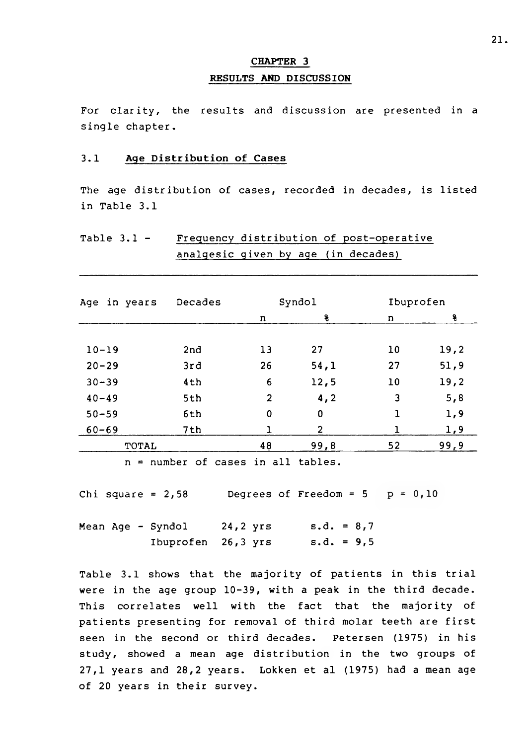# **RESULTS AND DISCUSSION CHAPTER 3**

For clarity, the results and discussion are presented in a single chapter.

#### **3.1 Age Distribution of Cases**

The age distribution of cases, recorded in decades, is listed in Table 3.1

# Table 3.1 - Frequency distribution of post-operative analgesic given by age (in decades)

| Age in years | Decades |                | Syndol         |    | Ibuprofen |  |
|--------------|---------|----------------|----------------|----|-----------|--|
|              |         | n              | 8              | n  | 8         |  |
|              |         |                |                |    |           |  |
| $10 - 19$    | 2nd     | 13             | 27             | 10 | 19,2      |  |
| $20 - 29$    | 3rd     | 26             | 54,1           | 27 | 51, 9     |  |
| $30 - 39$    | 4th     | 6              | 12,5           | 10 | 19,2      |  |
| $40 - 49$    | 5th     | $\overline{2}$ | 4, 2           | 3  | 5, 8      |  |
| $50 - 59$    | 6th     | $\mathbf 0$    | 0              | ı  | 1,9       |  |
| $60 - 69$    | 7th     |                | $\overline{2}$ |    | 1,9       |  |
| <b>TOTAL</b> |         | 48             | 99,8           | 52 | 99, 9     |  |

 $n =$  number of cases in all tables.

Chi square = 2,58 Degrees of Freedom =  $5$  p = 0,10

Mean Age - Syndol 24,2 yrs  $s.d. = 8,7$ Ibuprofen  $26,3$  yrs  $s.d. = 9,5$ 

Table 3.1 shows that the majority of patients in this trial were in the age group 10-39, with a peak in the third decade. This correlates well with the fact that the majority of patients presenting for removal of third molar teeth are first seen in the second or third decades. Petersen (1975) in his study, showed a mean age distribution in the two groups of 27,1 years and 28,2 years. Lokken et al (1975) had a mean age of 20 years in their survey.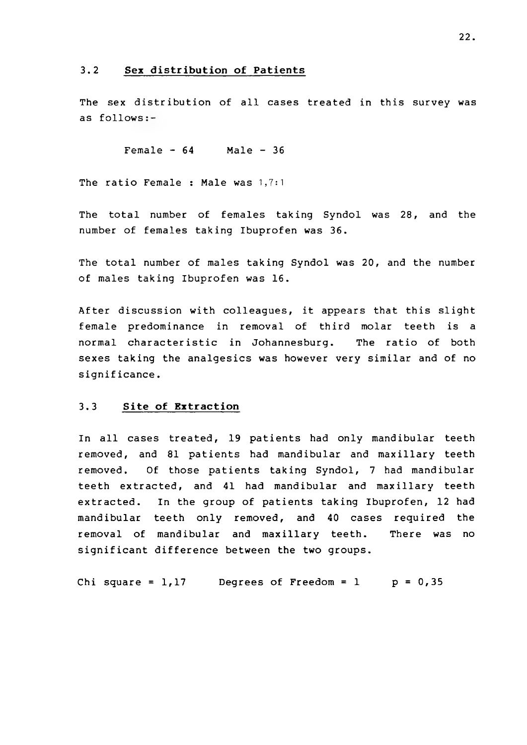#### **3.2 Sex distribution of Patients**

The sex distribution of all cases treated in this survey was as follows:-

 $Female - 64$  Male - 36

The ratio Female : Male was 1,7:1

The total number of females taking Syndol was 28, and the number of females taking Ibuprofen was 36.

The total number of males taking Syndol was 20, and the number of males taking Ibuprofen was 16.

After discussion with colleagues, it appears that this slight female predominance in removal of third molar teeth is a normal characteristic in Johannesburg. The ratio of both sexes taking the analgesics was however very similar and of no significance.

#### **3.3 Site of Extraction**

In all cases treated, 19 patients had only mandibular teeth removed, and 81 patients had mandibular and maxillary teeth removed. Of those patients taking Syndol, 7 had mandibular teeth extracted, and 41 had mandibular and maxillary teeth extracted. In the group of patients taking Ibuprofen, 12 had mandibular teeth only removed, and 40 cases required the removal of mandibular and maxillary teeth. There was no significant difference between the two groups.

Chi square =  $1,17$  Degrees of Freedom = 1 p =  $0,35$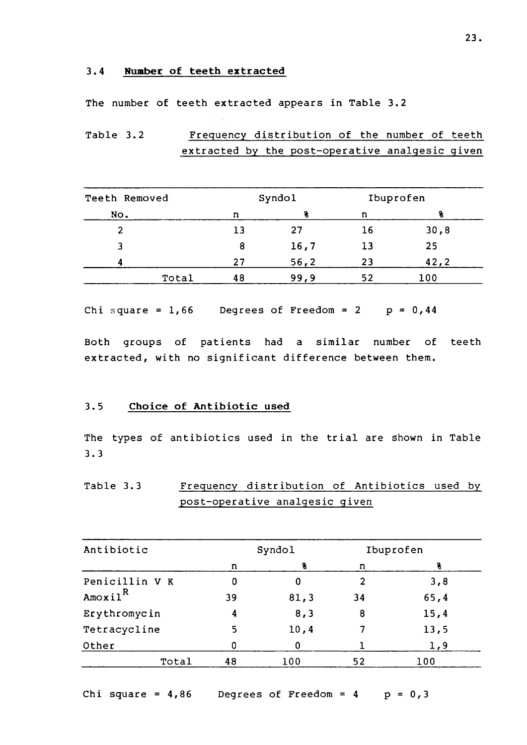#### **3.4 Number of teeth extracted**

The number of teeth extracted appears in Table 3.2

Table 3.2 Frequency distribution of the number of teeth extracted by the post-operative analgesic given

| Teeth Removed  |    | Syndol |    | Ibuprofen |
|----------------|----|--------|----|-----------|
| No.            | n  |        | n  |           |
| $\overline{2}$ | 13 | 27     | 16 | 30,8      |
| 3              | 8  | 16,7   | 13 | 25        |
| л              | 27 | 56, 2  | 23 | 42,2      |
| Total          | 48 | 99,9   | 52 | 100       |

Chi square =  $1,66$  Degrees of Freedom = 2 p =  $0,44$ 

Both groups of patients had a similar number of teeth extracted, with no significant difference between them.

### **3.5 Choice of Antibiotic used**

The types of antibiotics used in the trial are shown in Table 3.3

Table 3.3 Frequency distribution of Antibiotics used by post-operative analgesic given

| Antibiotic     | Syndol |       |                | Ibuprofen |
|----------------|--------|-------|----------------|-----------|
|                | n      |       | n              |           |
| Penicillin V K | 0      | 0     | $\overline{2}$ | 3,8       |
| $A$ moxil $R$  | 39     | 81, 3 | 34             | 65, 4     |
| Erythromycin   | 4      | 8, 3  | 8              | 15,4      |
| Tetracycline   | 5      | 10,4  |                | 13,5      |
| Other          | Ω      | 0     |                | 1,9       |
| Total          | 48     | 100   | 52             | 100       |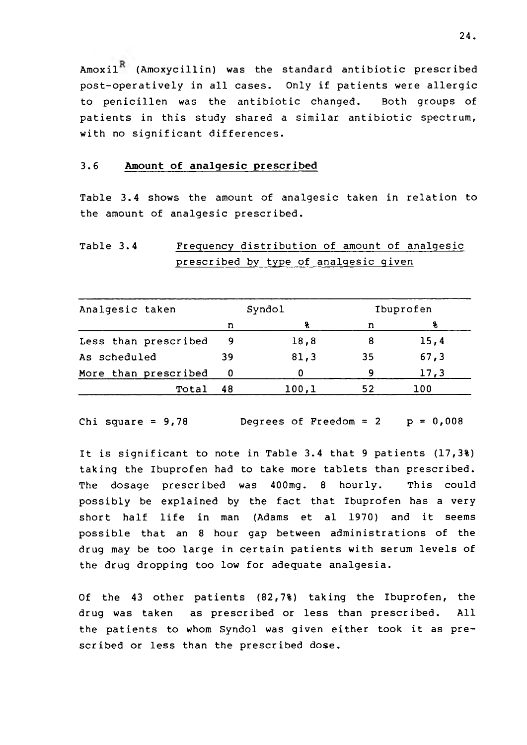Amoxil<sup>K</sup> (Amoxycillin) was the standard antibiotic prescribed post-operatively in all cases. Only if patients were allergic to penicillen was the antibiotic changed. Both groups of patients in this study shared a similar antibiotic spectrum, with no significant differences.

#### **3.6 Amount of analgesic prescribed**

Table 3.4 shows the amount of analgesic taken in relation to the amount of analgesic prescribed.

# Table 3.4 Frequency distribution of amount of analgesic prescribed by type of analgesic given

| Analgesic taken      |    | Syndol | Ibuprofen |       |
|----------------------|----|--------|-----------|-------|
|                      | n  |        | n         |       |
| Less than prescribed | -9 | 18,8   |           | 15,4  |
| As scheduled         | 39 | 81,3   | 35        | 67, 3 |
| More than prescribed |    |        | q         | 17,3  |
| Total                | 48 | 100,1  | 52        | 100   |

Chi square =  $9,78$  Degrees of Freedom =  $2$  p =  $0,008$ 

It is significant to note in Table 3.4 that 9 patients (17,3%) taking the Ibuprofen had to take more tablets than prescribed. The dosage prescribed was 400mg. 8 hourly. This could possibly be explained by the fact that Ibuprofen has a very short half life in man (Adams et al 1970) and it seems possible that an 8 hour gap between administrations of the drug may be too large in certain patients with serum levels of the drug dropping too low for adequate analgesia.

Of the 43 other patients (82,7%) taking the Ibuprofen, the drug was taken as prescribed or less than prescribed. All the patients to whom Syndol was given either took it as prescribed or less than the prescribed dose.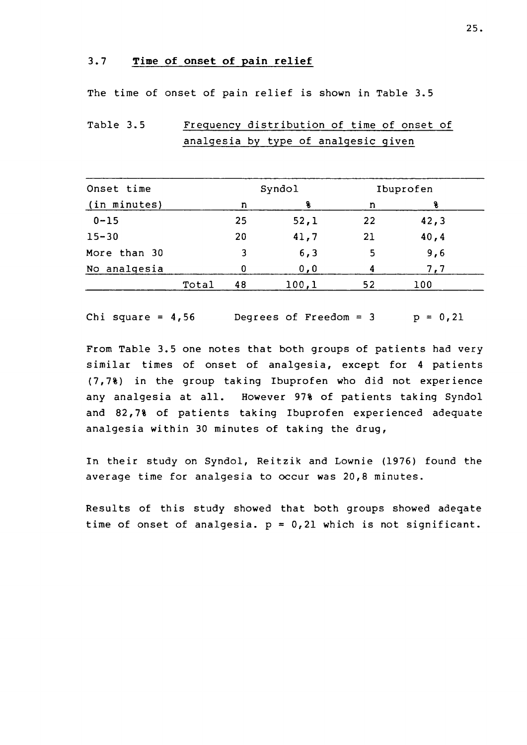### **3.7 Time of onset of pain relief**

The time of onset of pain relief is shown in Table 3.5

Table 3.5 Frequency distribution of time of onset of analgesia by type of analgesic given

| Onset time   |       | Syndol |       | Ibuprofen |       |  |
|--------------|-------|--------|-------|-----------|-------|--|
| (in minutes) |       | n      |       | n         | ٩.    |  |
| $0 - 15$     |       | 25     | 52,1  | 22        | 42, 3 |  |
| $15 - 30$    |       | 20     | 41,7  | 21        | 40, 4 |  |
| More than 30 |       | 3      | 6, 3  | 5         | 9,6   |  |
| No analgesia |       |        | 0, 0  |           | 7,7   |  |
|              | Total | 48     | 100,1 | 52        | 100   |  |

Chi square =  $4,56$  Degrees of Freedom =  $3$   $p = 0,21$ 

From Table 3.5 one notes that both groups of patients had very similar times of onset of analgesia, except for 4 patients (7,7%) in the group taking Ibuprofen who did not experience any analgesia at all. However 97% of patients taking Syndol and 82,7% of patients taking Ibuprofen experienced adequate analgesia within 30 minutes of taking the drug,

In their study on Syndol, Reitzik and Lownie (1976) found the average time for analgesia to occur was 20,8 minutes.

Results of this study showed that both groups showed adeqate time of onset of analgesia.  $p = 0,21$  which is not significant.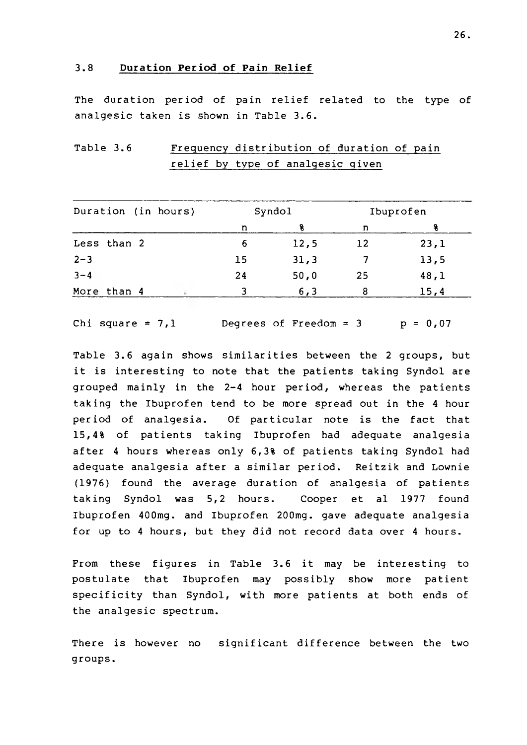#### **3.8 Duration Period of Pain Relief**

The duration period of pain relief related to the type of analgesic taken is shown in Table 3.6.

Table 3.6 Frequency distribution of duration of pain relief by type of analgesic given

| Duration (in hours) |             |  | Syndol |      | Ibuprofen |      |
|---------------------|-------------|--|--------|------|-----------|------|
|                     |             |  | n      |      | n         |      |
|                     | Less than 2 |  | 6      | 12,5 | 12        | 23,1 |
| $2 - 3$             |             |  | 15     | 31,3 |           | 13,5 |
| $3 - 4$             |             |  | 24     | 50,0 | 25        | 48,1 |
|                     | More than 4 |  |        | 6, 3 | 8         | 15,4 |

Chi square =  $7,1$  Degrees of Freedom =  $3$  p =  $0,07$ 

Table 3.6 again shows similarities between the 2 groups, but it is interesting to note that the patients taking Syndol are grouped mainly in the 2-4 hour period, whereas the patients taking the Ibuprofen tend to be more spread out in the 4 hour period of analgesia. Of particular note is the fact that 15,4% of patients taking Ibuprofen had adequate analgesia after 4 hours whereas only 6,3% of patients taking Syndol had adequate analgesia after a similar period. Reitzik and Lownie (1976) found the average duration of analgesia of patients taking Syndol was 5,2 hours. Cooper et al 1977 found Ibuprofen 400mg. and Ibuprofen 200mg. gave adequate analgesia for up to 4 hours, but they did not record data over 4 hours.

From these figures in Table 3.6 it may be interesting to postulate that Ibuprofen may possibly show more patient specificity than Syndol, with more patients at both ends of the analgesic spectrum.

There is however no significant difference between the two groups.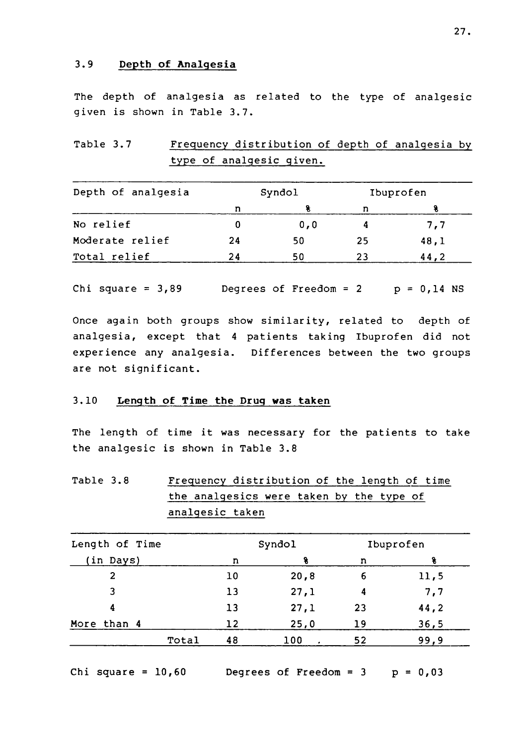### **3.9 Depth of Analgesia**

The depth of analgesia as related to the type of analgesic given is shown in Table 3.7.

Table 3.7 Frequency distribution of depth of analgesia by type of analgesic given.

| Depth of analgesia | Syndol |      |     | Ibuprofen |
|--------------------|--------|------|-----|-----------|
|                    | n      |      | n   |           |
| No relief          |        | 0, 0 |     | 7,7       |
| Moderate relief    | 24     | 50   | -25 | 48,1      |
| Total relief       | 24     | 50   | 23  | 44.2      |

Chi square =  $3,89$  Degrees of Freedom =  $2$  p =  $0,14$  NS

Once again both groups show similarity, related to depth of analgesia, except that 4 patients taking Ibuprofen did not experience any analgesia. Differences between the two groups are not significant.

### 3.10 Length of Time the Drug was taken

The length of time it was necessary for the patients to take the analgesic is shown in Table 3.8

Table 3.8 Frequency distribution of the length of time the analgesics were taken by the type of analgesic taken

| Length of Time |    | Syndol |    | Ibuprofen |
|----------------|----|--------|----|-----------|
| (in Days)      | n  | S      | n  | ક્ષ       |
| $\overline{2}$ | 10 | 20,8   | 6  | 11,5      |
| 3              | 13 | 27,1   | 4  | 7,7       |
| 4              | 13 | 27,1   | 23 | 44,2      |
| More than 4    | 12 | 25,0   | 19 | 36,5      |
| Total          | 48 | 100    | 52 | 99,9      |

Chi square =  $10,60$  Degrees of Freedom =  $3$  p =  $0,03$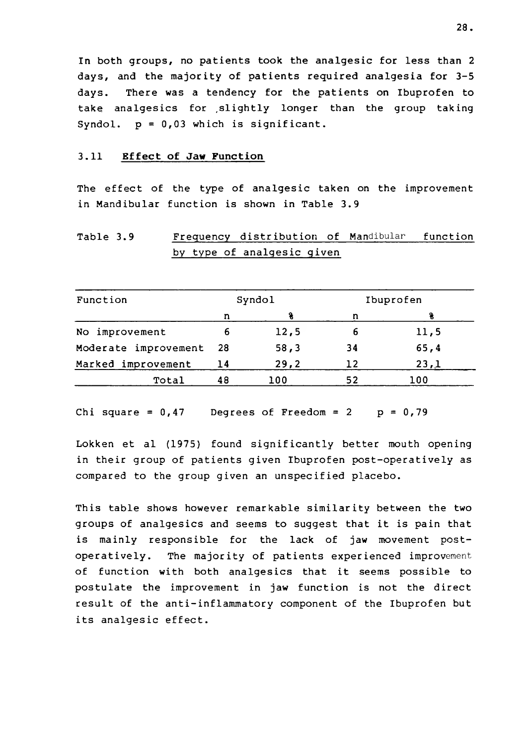In both groups, no patients took the analgesic for less than 2 days, and the majority of patients required analgesia for 3-5 days. There was a tendency for the patients on Ibuprofen to take analgesics for .slightly longer than the group taking Syndol.  $p = 0,03$  which is significant.

#### **3.11 Effect of Jaw Function**

The effect of the type of analgesic taken on the improvement in Mandibular function is shown in Table 3.9

# Table 3.9 Frequency distribution of Mandibular function by type of analgesic given

| Function             | Syndol |      | Ibuprofen |       |
|----------------------|--------|------|-----------|-------|
|                      | n      |      | n         |       |
| improvement<br>No    | 6      | 12,5 | ь         | 11,5  |
| Moderate improvement | 28     | 58,3 | 34        | 65, 4 |
| Marked improvement   | 14     | 29,2 | 12        | 23,1  |
| Total                | 48     | 100  | 52        | 100   |

Chi square =  $0,47$  Degrees of Freedom = 2 p =  $0,79$ 

Lokken et al (1975) found significantly better mouth opening in their group of patients given Ibuprofen post-operatively as compared to the group given an unspecified placebo.

This table shows however remarkable similarity between the two groups of analgesics and seems to suggest that it is pain that is mainly responsible for the lack of jaw movement postoperatively. The majority of patients experienced **improvement** of function with both analgesics that it seems possible to postulate the improvement in jaw function is not the direct result of the anti-inflammatory component of the Ibuprofen but its analgesic effect.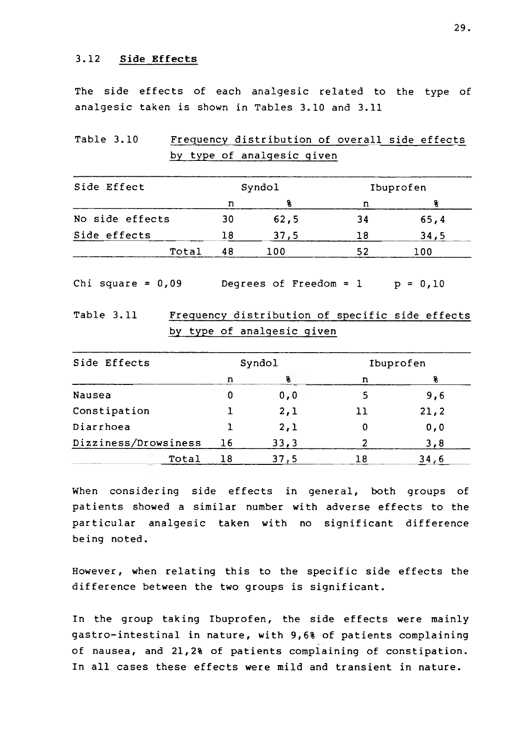### **3.12 Side Effects**

The side effects of each analgesic related to the type of analgesic taken is shown in Tables 3.10 and 3.11

Table 3.10 Frequency distribution of overall side effects by type of analgesic given

| Side Effect     | Syndol |       | Ibuprofen |      |
|-----------------|--------|-------|-----------|------|
|                 | n      |       | n         |      |
| No side effects | 30     | 62, 5 | 34        | 65,4 |
| Side effects    | 18     | 37,5  | 18        | 34,5 |
| Total           | 48     | 100   | 52        | 100  |

Chi square =  $0,09$  Degrees of Freedom = 1 p =  $0,10$ 

Table 3.11 Frequency distribution of specific side effects by type of analgesic given

| Side Effects         | Syndol |      | Ibuprofen |       |
|----------------------|--------|------|-----------|-------|
|                      | n      | g    | n         |       |
| <b>Nausea</b>        | 0      | 0, 0 | 5         | 9,6   |
| Constipation         |        | 2,1  | 11        | 21, 2 |
| Diarrhoea            |        | 2,1  | 0         | 0, 0  |
| Dizziness/Drowsiness | 16     | 33,3 |           | 3, 8  |
| Total                | 18     | 37,5 | 18        | 34,6  |

When considering side effects in general, both groups of patients showed a similar number with adverse effects to the particular analgesic taken with no significant difference being noted.

However, when relating this to the specific side effects the difference between the two groups is significant.

In the group taking Ibuprofen, the side effects were mainly gastro-intestinal in nature, with 9,6% of patients complaining of nausea, and 21,2% of patients complaining of constipation. In all cases these effects were mild and transient in nature.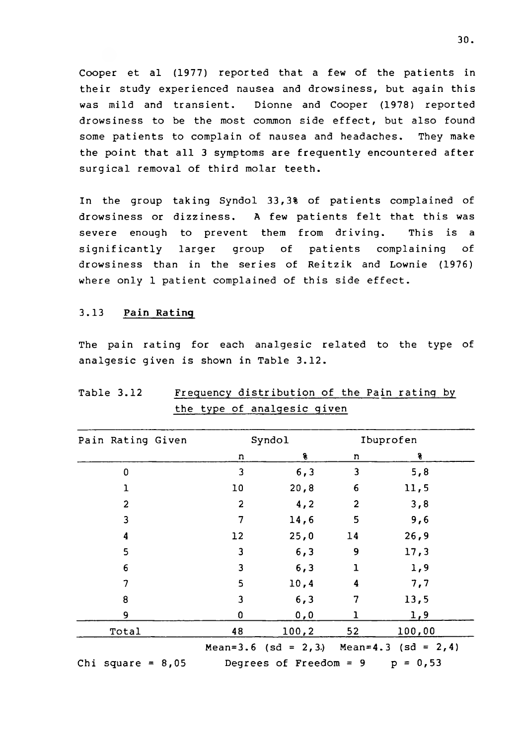Cooper et al (1977) reported that a few of the patients in their study experienced nausea and drowsiness, but again this was mild and transient. Dionne and Cooper (1978) reported drowsiness to be the most common side effect, but also found some patients to complain of nausea and headaches. They make the point that all 3 symptoms are frequently encountered after surgical removal of third molar teeth.

In the group taking Syndol 33,3% of patients complained of drowsiness or dizziness. A few patients felt that this was severe enough to prevent them from driving. This is a significantly larger group of patients complaining of drowsiness than in the series of Reitzik and Lownie (1976) where only 1 patient complained of this side effect.

### **3.13 Pain Rating**

The pain rating for each analgesic related to the type of analgesic given is shown in Table 3.12.

| Pain Rating Given   |                         | Syndol                            |                | Ibuprofen                                     |
|---------------------|-------------------------|-----------------------------------|----------------|-----------------------------------------------|
|                     | n                       | s.                                | n              | g                                             |
| 0                   | 3                       | 6, 3                              | 3              | 5, 8                                          |
| $\mathbf{1}$        | 10                      | 20, 8                             | 6              | 11,5                                          |
| $\overline{2}$      | $\overline{2}$          | 4, 2                              | $\overline{2}$ | 3,8                                           |
| 3                   | 7                       | 14,6                              | 5              | 9,6                                           |
| 4                   | 12                      | 25,0                              | 14             | 26, 9                                         |
| 5                   | 3                       | 6, 3                              | 9              | 17,3                                          |
| 6                   | 3                       | 6, 3                              | $\mathbf 1$    | 1,9                                           |
| $\overline{7}$      | 5                       | 10,4                              | 4              | 7,7                                           |
| 8                   | $\overline{\mathbf{3}}$ | 6, 3                              | 7              | 13,5                                          |
| 9                   | 0                       | 0, 0                              | ı              | 1,9                                           |
| Total               | 48                      | 100, 2                            | 52             | 100,00                                        |
|                     |                         |                                   |                | Mean=3.6 (sd = $2,3$ ) Mean=4.3 (sd = $2,4$ ) |
| Chi square = $8,05$ |                         | Degrees of Freedom = $9$ p = 0,53 |                |                                               |

# Table 3.12 Frequency distribution of the Pain rating by the type of analgesic given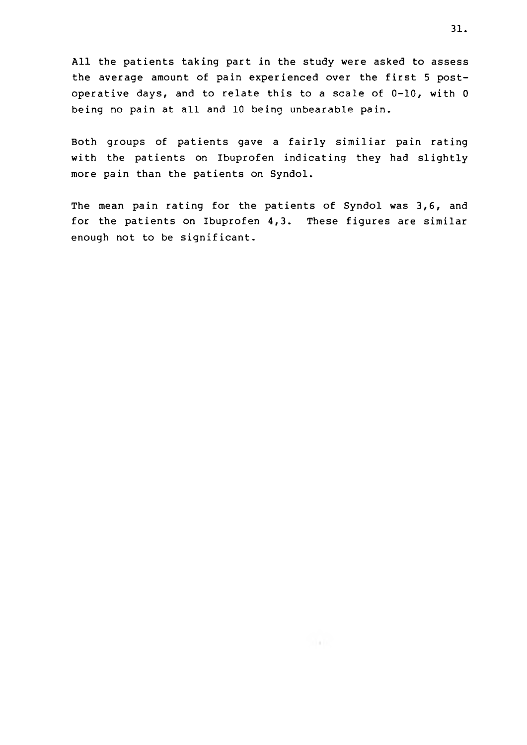All the patients taking part in the study were asked to assess the average amount of pain experienced over the first 5 postoperative days, and to relate this to a scale of 0-10, with 0 being no pain at all and 10 being unbearable pain.

Both groups of patients gave a fairly similiar pain rating with the patients on Ibuprofen indicating they had slightly more pain than the patients on Syndol.

The mean pain rating for the patients of Syndol was 3,6, and for the patients on Ibuprofen 4,3. These figures are similar enough not to be significant.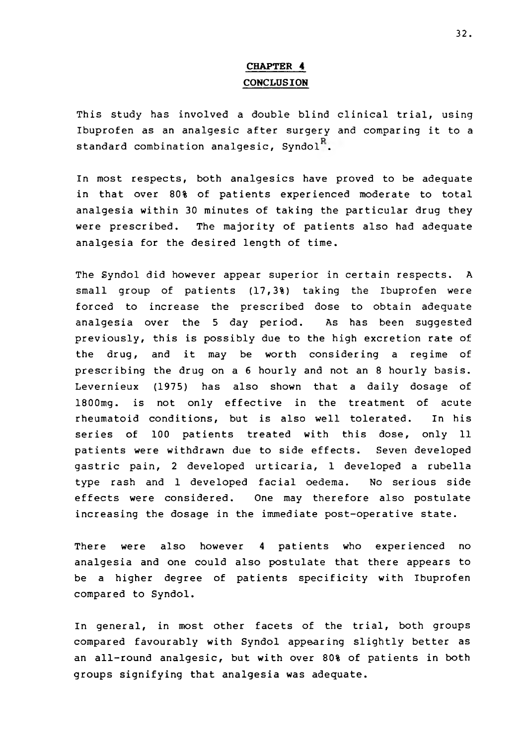# **CHAPTER 4 CONCLUSION**

This study has involved a double blind clinical trial, using Ibuprofen as an analgesic after surgery and comparing it to a standard combination analgesic, Syndol<sup>R</sup>.

In most respects, both analgesics have proved to be adequate in that over 80% of patients experienced moderate to total analgesia within 30 minutes of taking the particular drug they were prescribed. The majority of patients also had adequate analgesia for the desired length of time.

The Syndol did however appear superior in certain respects. A small group of patients (17,3%) taking the Ibuprofen were forced to increase the prescribed dose to obtain adequate analgesia over the 5 day period. As has been suggested previously, this is possibly due to the high excretion rate of the drug, and it may be worth considering a regime of prescribing the drug on a 6 hourly and not an 8 hourly basis. Levernieux (1975) has also shown that a daily dosage of 1800mg. is not only effective in the treatment of acute rheumatoid conditions, but is also well tolerated. In his series of 100 patients treated with this dose, only 11 patients were withdrawn due to side effects. Seven developed gastric pain, 2 developed urticaria, 1 developed a rubella type rash and 1 developed facial oedema. No serious side effects were considered. One may therefore also postulate increasing the dosage in the immediate post-operative state.

There were also however 4 patients who experienced no analgesia and one could also postulate that there appears to be a higher degree of patients specificity with Ibuprofen compared to Syndol.

In general, in most other facets of the trial, both groups compared favourably with Syndol appearing slightly better as an all-round analgesic, but with over 80% of patients in both groups signifying that analgesia was adequate.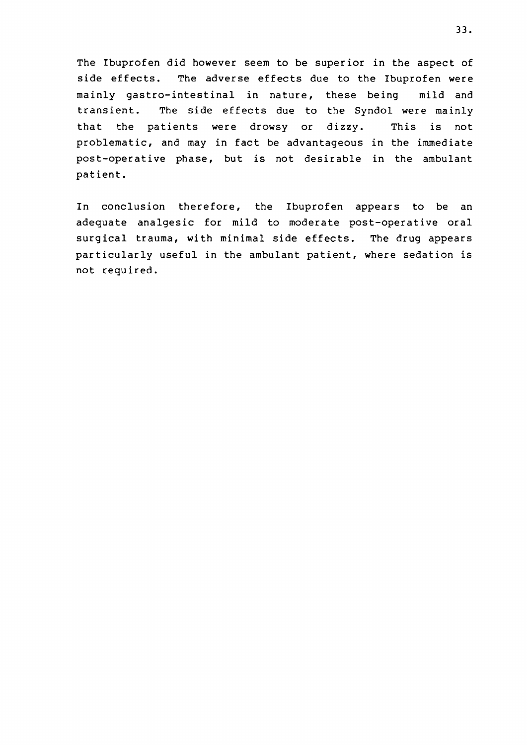The Ibuprofen did however seem to be superior in the aspect of side effects. The adverse effects due to the Ibuprofen were mainly gastro-intestinal in nature, these being mild and transient. The side effects due to the Syndol were mainly that the patients were drowsy or dizzy. This is not problematic, and may in fact be advantageous in the immediate post-operative phase, but is not desirable in the ambulant patient.

In conclusion therefore, the Ibuprofen appears to be an adequate analgesic for mild to moderate post-operative oral surgical trauma, with minimal side effects. The drug appears particularly useful in the ambulant patient, where sedation is not required.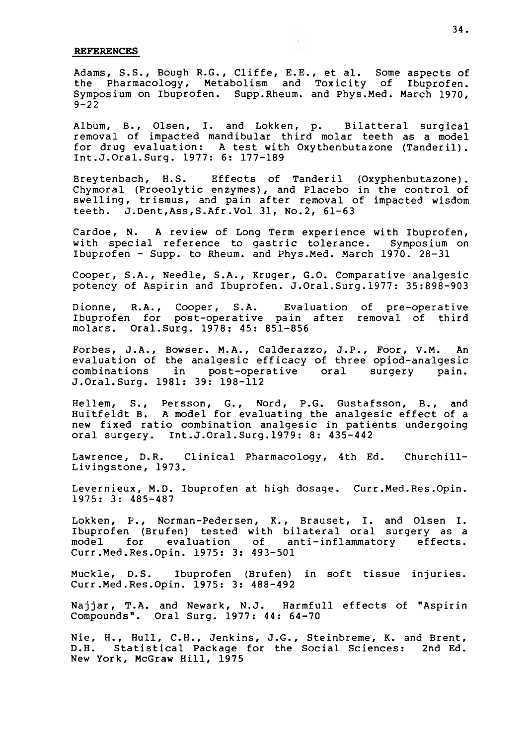#### **REFERENCES**

Adams, S.S., Bough R.G., Cliffe, E.E., et al. Some aspects of the Pharmacology, Metabolism and Toxicity of Ibuprofen. Symposium on Ibuprofen. Supp.Rheum, and Phys.Med. March 1970,  $9 - 22$ 

Album, B., Olsen, I. and Lokken, p. Bilatteral surgical removal of impacted mandibular third molar teeth as a model for drug evaluation: A test with Oxythenbutazone (Tanderil). Int.J.Oral.Surg. 1977: 6: 177-189

Breytenbach, H.S. Effects of Tanderil (Oxyphenbutazone). Chymoral (Proeolytic enzymes), and Placebo in the control of swelling, trismus, and pain after removal of impacted wisdom teeth. J.Dent,Ass,S.Afr.Vol 31, No.2, 61-63

Cardoe, N. A review of Long Term experience with Ibuprofen, with special reference to gastric tolerance. Symposium on Ibuprofen - Supp. to Rheum, and Phys.Med. March 1970. 28-31

Cooper, S.A., Needle, S.A., Kruger, G.O. Comparative analgesic potency of Aspirin and Ibuprofen. J.Oral.Surg.1977: 35:898-903

Dionne, R.A., Cooper, S.A. Evaluation of pre-operative Ibuprofen for post-operative pain after removal of third molars. Oral.Surg. 1978: 45: 851-856

Forbes, J.A., Bowser. M.A., Calderazzo, J.P., Foor, V.M. An evaluation of the analgesic efficacy of three opiod-analgesic combinations in post-operative oral surgery pain. J.Oral.Surg. 1981: 39: 198-112

Hellem, S., Persson, G., Nord, P.G. Gustafsson, B., and Huitfeldt B. A model for evaluating the analgesic effect of a new fixed ratio combination analgesic in patients undergoing oral surgery. Int.J.Oral.Surg.1979: 8: 435-442

Lawrence, D.R. Clinical Pharmacology, 4th Ed. Churchill-Livingstone, 1973.

Levernieux, M.D. Ibuprofen at high dosage. Curr.Med.Res.Opin. 1975: 3: 485-487

Lokken, P., Norman-Pedersen, K., Brauset, I. and Olsen I. Ibuprofen (Brufen) tested with bilateral oral surgery as a model for evaluation of anti-inflammatory effects. Curr.Med.Res.Opin. 1975: 3: 493-501

Muckle, D.S. Ibuprofen (Brufen) in soft tissue injuries. Curr.Med.Res.Opin. 1975: 3: 488-492

Najjar, T.A. and Newark, N.J. Harmfull effects of "Aspirin Compounds". Oral Surg. 1977: 44: 64-70

Nie, H., Hull, C.H., Jenkins, J.G., Steinbreme, K. and Brent, D.H. Statistical Package for the Social Sciences: 2nd Ed. New York, McGraw Hill, 1975